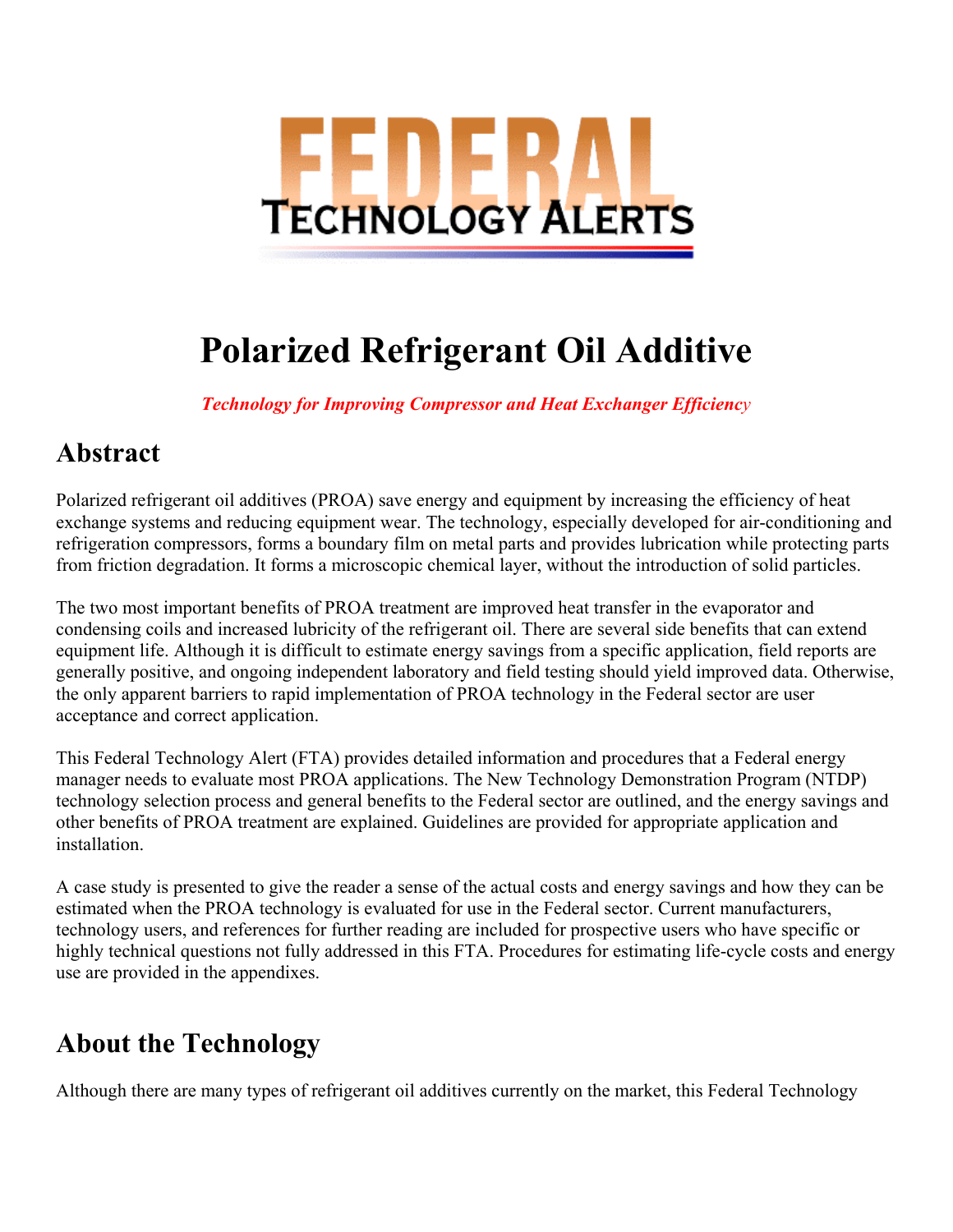

# **Polarized Refrigerant Oil Additive**

*Technology for Improving Compressor and Heat Exchanger Efficiency*

#### **Abstract**

Polarized refrigerant oil additives (PROA) save energy and equipment by increasing the efficiency of heat exchange systems and reducing equipment wear. The technology, especially developed for air-conditioning and refrigeration compressors, forms a boundary film on metal parts and provides lubrication while protecting parts from friction degradation. It forms a microscopic chemical layer, without the introduction of solid particles.

The two most important benefits of PROA treatment are improved heat transfer in the evaporator and condensing coils and increased lubricity of the refrigerant oil. There are several side benefits that can extend equipment life. Although it is difficult to estimate energy savings from a specific application, field reports are generally positive, and ongoing independent laboratory and field testing should yield improved data. Otherwise, the only apparent barriers to rapid implementation of PROA technology in the Federal sector are user acceptance and correct application.

This Federal Technology Alert (FTA) provides detailed information and procedures that a Federal energy manager needs to evaluate most PROA applications. The New Technology Demonstration Program (NTDP) technology selection process and general benefits to the Federal sector are outlined, and the energy savings and other benefits of PROA treatment are explained. Guidelines are provided for appropriate application and installation.

A case study is presented to give the reader a sense of the actual costs and energy savings and how they can be estimated when the PROA technology is evaluated for use in the Federal sector. Current manufacturers, technology users, and references for further reading are included for prospective users who have specific or highly technical questions not fully addressed in this FTA. Procedures for estimating life-cycle costs and energy use are provided in the appendixes.

#### **About the Technology**

Although there are many types of refrigerant oil additives currently on the market, this Federal Technology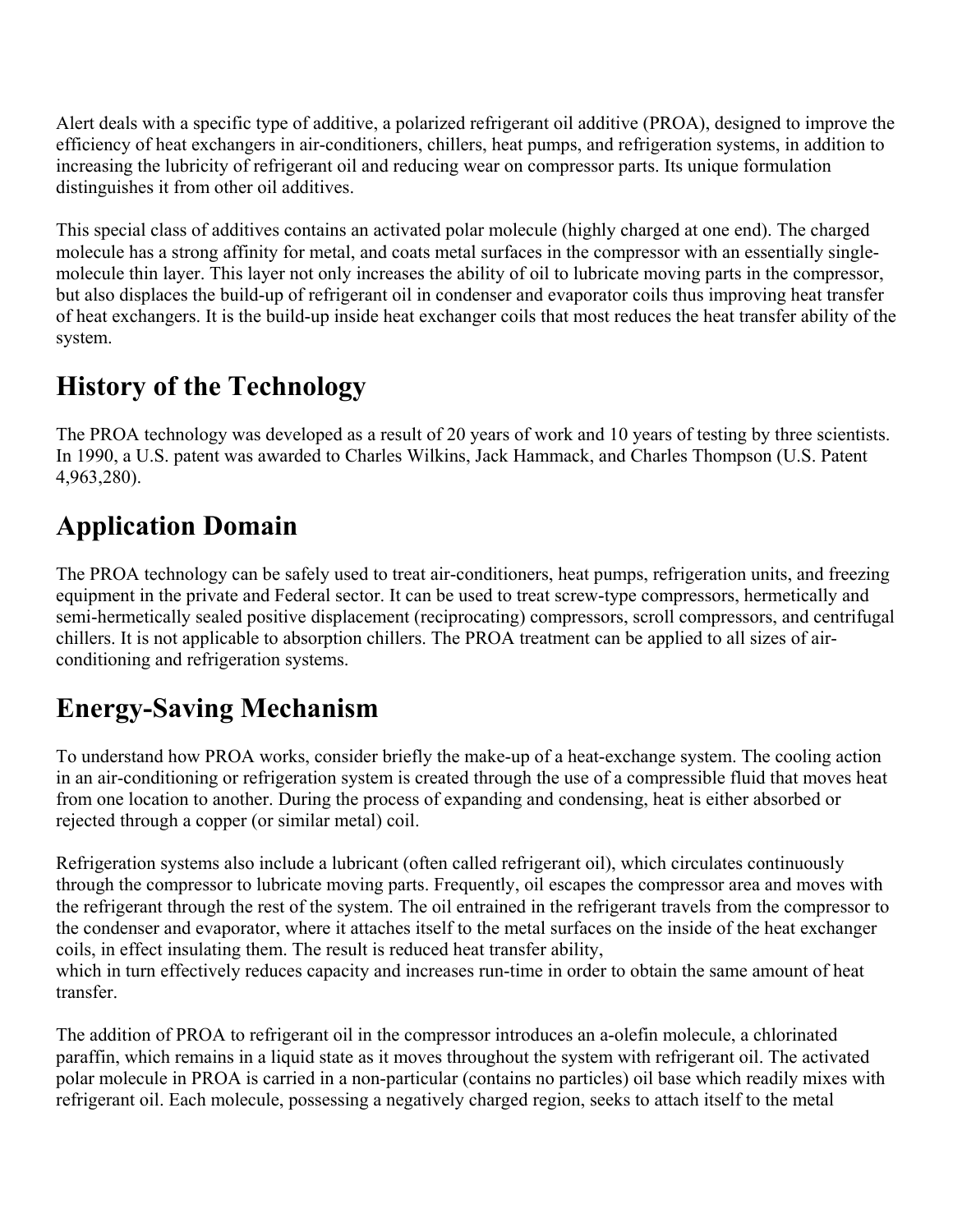Alert deals with a specific type of additive, a polarized refrigerant oil additive (PROA), designed to improve the efficiency of heat exchangers in air-conditioners, chillers, heat pumps, and refrigeration systems, in addition to increasing the lubricity of refrigerant oil and reducing wear on compressor parts. Its unique formulation distinguishes it from other oil additives.

This special class of additives contains an activated polar molecule (highly charged at one end). The charged molecule has a strong affinity for metal, and coats metal surfaces in the compressor with an essentially singlemolecule thin layer. This layer not only increases the ability of oil to lubricate moving parts in the compressor, but also displaces the build-up of refrigerant oil in condenser and evaporator coils thus improving heat transfer of heat exchangers. It is the build-up inside heat exchanger coils that most reduces the heat transfer ability of the system.

### **History of the Technology**

The PROA technology was developed as a result of 20 years of work and 10 years of testing by three scientists. In 1990, a U.S. patent was awarded to Charles Wilkins, Jack Hammack, and Charles Thompson (U.S. Patent 4,963,280).

## **Application Domain**

The PROA technology can be safely used to treat air-conditioners, heat pumps, refrigeration units, and freezing equipment in the private and Federal sector. It can be used to treat screw-type compressors, hermetically and semi-hermetically sealed positive displacement (reciprocating) compressors, scroll compressors, and centrifugal chillers. It is not applicable to absorption chillers. The PROA treatment can be applied to all sizes of airconditioning and refrigeration systems.

#### **Energy-Saving Mechanism**

To understand how PROA works, consider briefly the make-up of a heat-exchange system. The cooling action in an air-conditioning or refrigeration system is created through the use of a compressible fluid that moves heat from one location to another. During the process of expanding and condensing, heat is either absorbed or rejected through a copper (or similar metal) coil.

Refrigeration systems also include a lubricant (often called refrigerant oil), which circulates continuously through the compressor to lubricate moving parts. Frequently, oil escapes the compressor area and moves with the refrigerant through the rest of the system. The oil entrained in the refrigerant travels from the compressor to the condenser and evaporator, where it attaches itself to the metal surfaces on the inside of the heat exchanger coils, in effect insulating them. The result is reduced heat transfer ability, which in turn effectively reduces capacity and increases run-time in order to obtain the same amount of heat transfer.

The addition of PROA to refrigerant oil in the compressor introduces an a-olefin molecule, a chlorinated paraffin, which remains in a liquid state as it moves throughout the system with refrigerant oil. The activated polar molecule in PROA is carried in a non-particular (contains no particles) oil base which readily mixes with refrigerant oil. Each molecule, possessing a negatively charged region, seeks to attach itself to the metal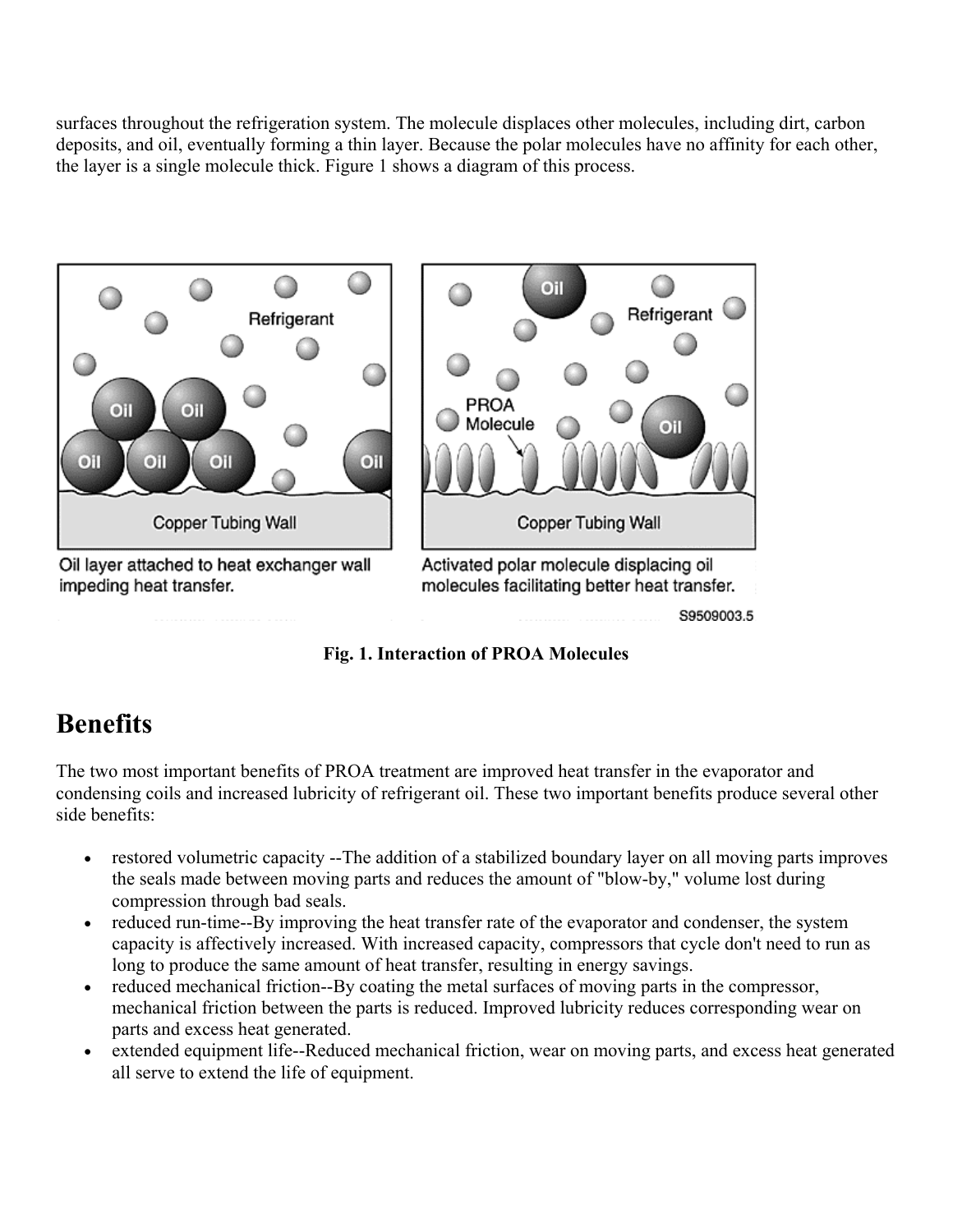surfaces throughout the refrigeration system. The molecule displaces other molecules, including dirt, carbon deposits, and oil, eventually forming a thin layer. Because the polar molecules have no affinity for each other, the layer is a single molecule thick. Figure 1 shows a diagram of this process.



**Fig. 1. Interaction of PROA Molecules**

#### **Benefits**

The two most important benefits of PROA treatment are improved heat transfer in the evaporator and condensing coils and increased lubricity of refrigerant oil. These two important benefits produce several other side benefits:

- restored volumetric capacity --The addition of a stabilized boundary layer on all moving parts improves the seals made between moving parts and reduces the amount of "blow-by," volume lost during compression through bad seals.
- reduced run-time--By improving the heat transfer rate of the evaporator and condenser, the system capacity is affectively increased. With increased capacity, compressors that cycle don't need to run as long to produce the same amount of heat transfer, resulting in energy savings.
- reduced mechanical friction--By coating the metal surfaces of moving parts in the compressor, mechanical friction between the parts is reduced. Improved lubricity reduces corresponding wear on parts and excess heat generated.
- extended equipment life--Reduced mechanical friction, wear on moving parts, and excess heat generated all serve to extend the life of equipment.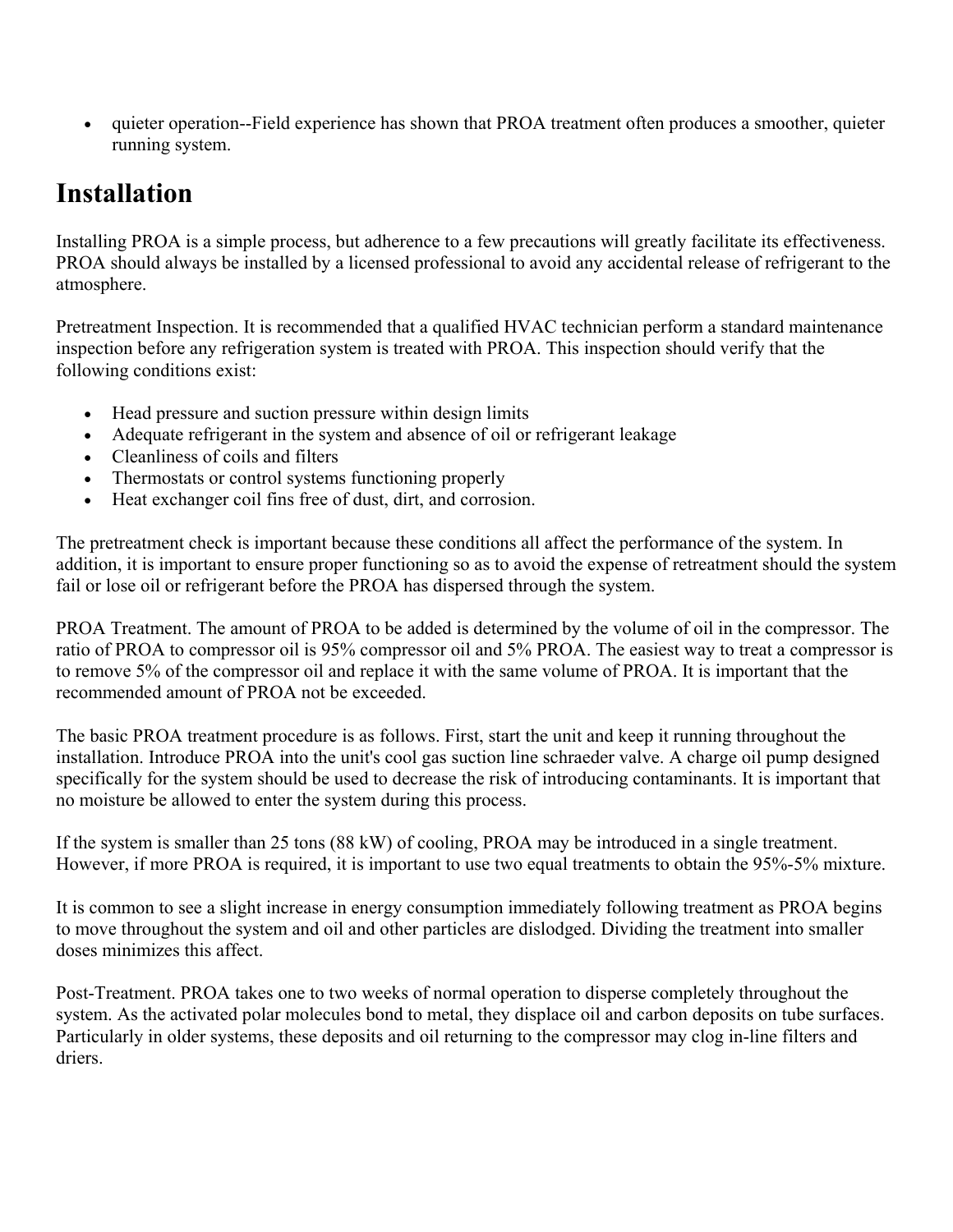• quieter operation--Field experience has shown that PROA treatment often produces a smoother, quieter running system.

#### **Installation**

Installing PROA is a simple process, but adherence to a few precautions will greatly facilitate its effectiveness. PROA should always be installed by a licensed professional to avoid any accidental release of refrigerant to the atmosphere.

Pretreatment Inspection. It is recommended that a qualified HVAC technician perform a standard maintenance inspection before any refrigeration system is treated with PROA. This inspection should verify that the following conditions exist:

- Head pressure and suction pressure within design limits
- Adequate refrigerant in the system and absence of oil or refrigerant leakage
- $\bullet$  Cleanliness of coils and filters
- Thermostats or control systems functioning properly
- Heat exchanger coil fins free of dust, dirt, and corrosion.

The pretreatment check is important because these conditions all affect the performance of the system. In addition, it is important to ensure proper functioning so as to avoid the expense of retreatment should the system fail or lose oil or refrigerant before the PROA has dispersed through the system.

PROA Treatment. The amount of PROA to be added is determined by the volume of oil in the compressor. The ratio of PROA to compressor oil is 95% compressor oil and 5% PROA. The easiest way to treat a compressor is to remove 5% of the compressor oil and replace it with the same volume of PROA. It is important that the recommended amount of PROA not be exceeded.

The basic PROA treatment procedure is as follows. First, start the unit and keep it running throughout the installation. Introduce PROA into the unit's cool gas suction line schraeder valve. A charge oil pump designed specifically for the system should be used to decrease the risk of introducing contaminants. It is important that no moisture be allowed to enter the system during this process.

If the system is smaller than 25 tons (88 kW) of cooling, PROA may be introduced in a single treatment. However, if more PROA is required, it is important to use two equal treatments to obtain the 95%-5% mixture.

It is common to see a slight increase in energy consumption immediately following treatment as PROA begins to move throughout the system and oil and other particles are dislodged. Dividing the treatment into smaller doses minimizes this affect.

Post-Treatment. PROA takes one to two weeks of normal operation to disperse completely throughout the system. As the activated polar molecules bond to metal, they displace oil and carbon deposits on tube surfaces. Particularly in older systems, these deposits and oil returning to the compressor may clog in-line filters and driers.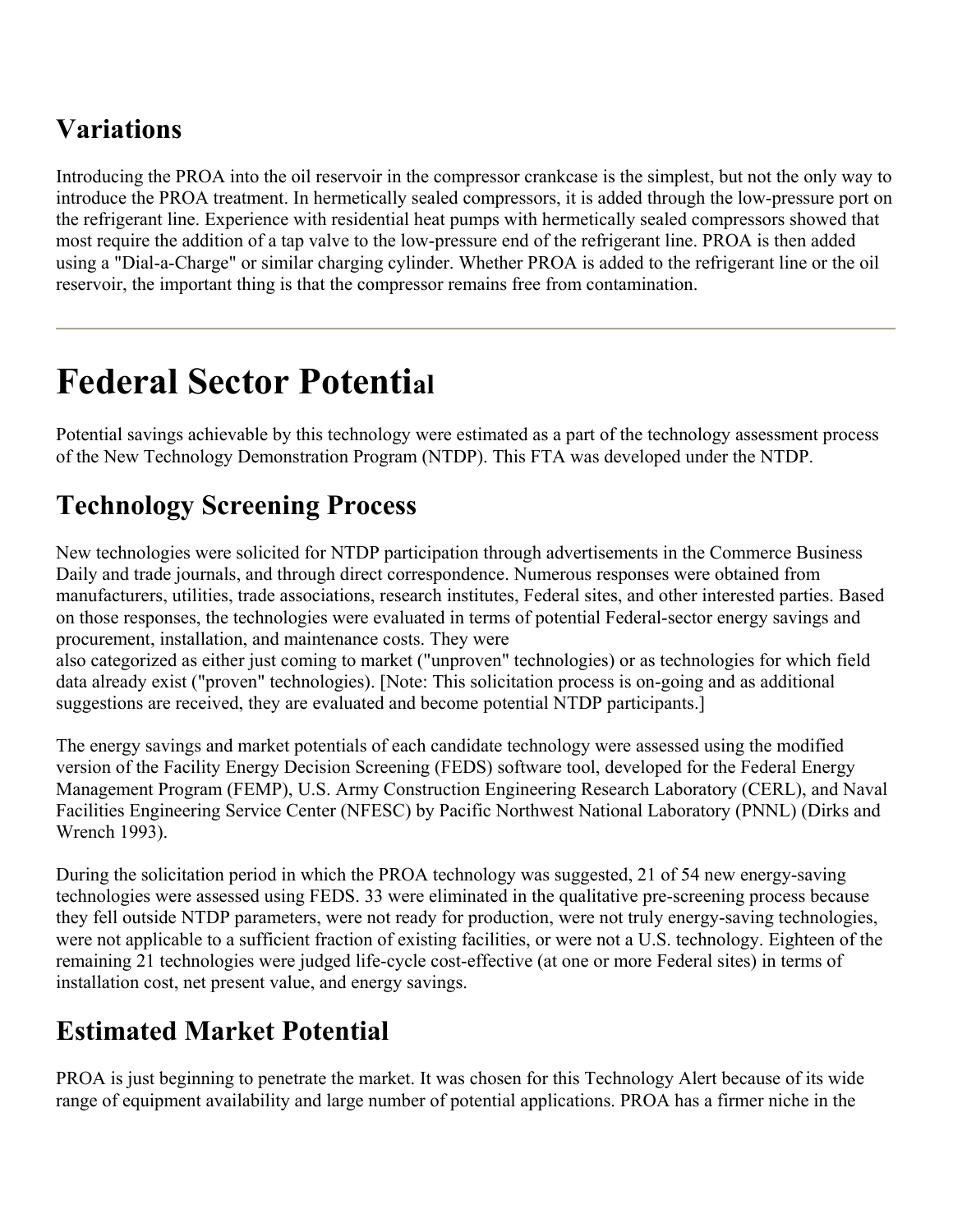## **Variations**

Introducing the PROA into the oil reservoir in the compressor crankcase is the simplest, but not the only way to introduce the PROA treatment. In hermetically sealed compressors, it is added through the low-pressure port on the refrigerant line. Experience with residential heat pumps with hermetically sealed compressors showed that most require the addition of a tap valve to the low-pressure end of the refrigerant line. PROA is then added using a "Dial-a-Charge" or similar charging cylinder. Whether PROA is added to the refrigerant line or the oil reservoir, the important thing is that the compressor remains free from contamination.

## **Federal Sector Potential**

Potential savings achievable by this technology were estimated as a part of the technology assessment process of the New Technology Demonstration Program (NTDP). This FTA was developed under the NTDP.

## **Technology Screening Process**

New technologies were solicited for NTDP participation through advertisements in the Commerce Business Daily and trade journals, and through direct correspondence. Numerous responses were obtained from manufacturers, utilities, trade associations, research institutes, Federal sites, and other interested parties. Based on those responses, the technologies were evaluated in terms of potential Federal-sector energy savings and procurement, installation, and maintenance costs. They were

also categorized as either just coming to market ("unproven" technologies) or as technologies for which field data already exist ("proven" technologies). [Note: This solicitation process is on-going and as additional suggestions are received, they are evaluated and become potential NTDP participants.]

The energy savings and market potentials of each candidate technology were assessed using the modified version of the Facility Energy Decision Screening (FEDS) software tool, developed for the Federal Energy Management Program (FEMP), U.S. Army Construction Engineering Research Laboratory (CERL), and Naval Facilities Engineering Service Center (NFESC) by Pacific Northwest National Laboratory (PNNL) (Dirks and Wrench 1993).

During the solicitation period in which the PROA technology was suggested, 21 of 54 new energy-saving technologies were assessed using FEDS. 33 were eliminated in the qualitative pre-screening process because they fell outside NTDP parameters, were not ready for production, were not truly energy-saving technologies, were not applicable to a sufficient fraction of existing facilities, or were not a U.S. technology. Eighteen of the remaining 21 technologies were judged life-cycle cost-effective (at one or more Federal sites) in terms of installation cost, net present value, and energy savings.

#### **Estimated Market Potential**

PROA is just beginning to penetrate the market. It was chosen for this Technology Alert because of its wide range of equipment availability and large number of potential applications. PROA has a firmer niche in the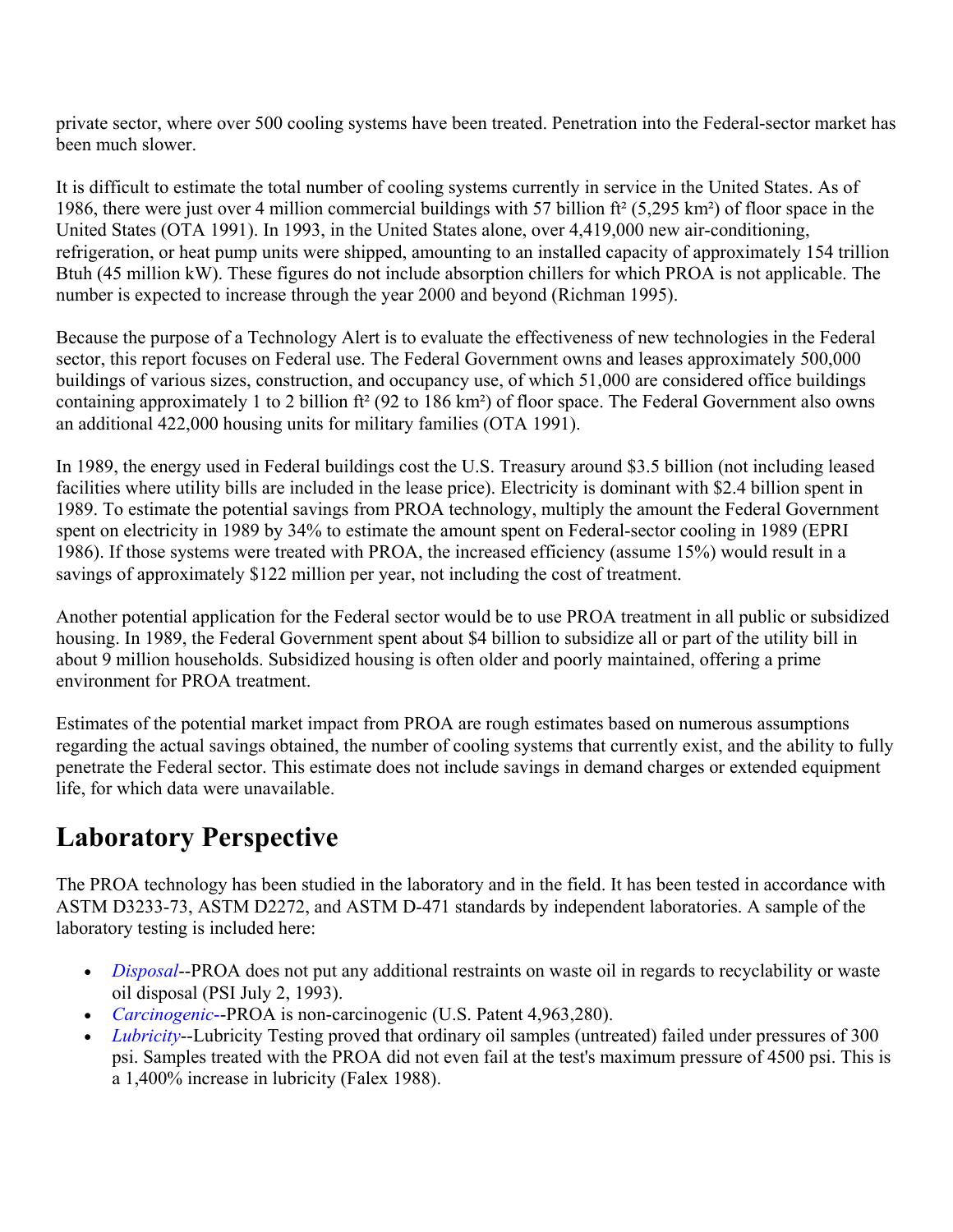private sector, where over 500 cooling systems have been treated. Penetration into the Federal-sector market has been much slower.

It is difficult to estimate the total number of cooling systems currently in service in the United States. As of 1986, there were just over 4 million commercial buildings with 57 billion ft² (5,295 km²) of floor space in the United States (OTA 1991). In 1993, in the United States alone, over 4,419,000 new air-conditioning, refrigeration, or heat pump units were shipped, amounting to an installed capacity of approximately 154 trillion Btuh (45 million kW). These figures do not include absorption chillers for which PROA is not applicable. The number is expected to increase through the year 2000 and beyond (Richman 1995).

Because the purpose of a Technology Alert is to evaluate the effectiveness of new technologies in the Federal sector, this report focuses on Federal use. The Federal Government owns and leases approximately 500,000 buildings of various sizes, construction, and occupancy use, of which 51,000 are considered office buildings containing approximately 1 to 2 billion ft² (92 to 186 km²) of floor space. The Federal Government also owns an additional 422,000 housing units for military families (OTA 1991).

In 1989, the energy used in Federal buildings cost the U.S. Treasury around \$3.5 billion (not including leased facilities where utility bills are included in the lease price). Electricity is dominant with \$2.4 billion spent in 1989. To estimate the potential savings from PROA technology, multiply the amount the Federal Government spent on electricity in 1989 by 34% to estimate the amount spent on Federal-sector cooling in 1989 (EPRI 1986). If those systems were treated with PROA, the increased efficiency (assume 15%) would result in a savings of approximately \$122 million per year, not including the cost of treatment.

Another potential application for the Federal sector would be to use PROA treatment in all public or subsidized housing. In 1989, the Federal Government spent about \$4 billion to subsidize all or part of the utility bill in about 9 million households. Subsidized housing is often older and poorly maintained, offering a prime environment for PROA treatment.

Estimates of the potential market impact from PROA are rough estimates based on numerous assumptions regarding the actual savings obtained, the number of cooling systems that currently exist, and the ability to fully penetrate the Federal sector. This estimate does not include savings in demand charges or extended equipment life, for which data were unavailable.

#### **Laboratory Perspective**

The PROA technology has been studied in the laboratory and in the field. It has been tested in accordance with ASTM D3233-73, ASTM D2272, and ASTM D-471 standards by independent laboratories. A sample of the laboratory testing is included here:

- *Disposal*--PROA does not put any additional restraints on waste oil in regards to recyclability or waste oil disposal (PSI July 2, 1993).
- *Carcinogenic*--PROA is non-carcinogenic (U.S. Patent 4,963,280).
- *Lubricity*--Lubricity Testing proved that ordinary oil samples (untreated) failed under pressures of 300 psi. Samples treated with the PROA did not even fail at the test's maximum pressure of 4500 psi. This is a 1,400% increase in lubricity (Falex 1988).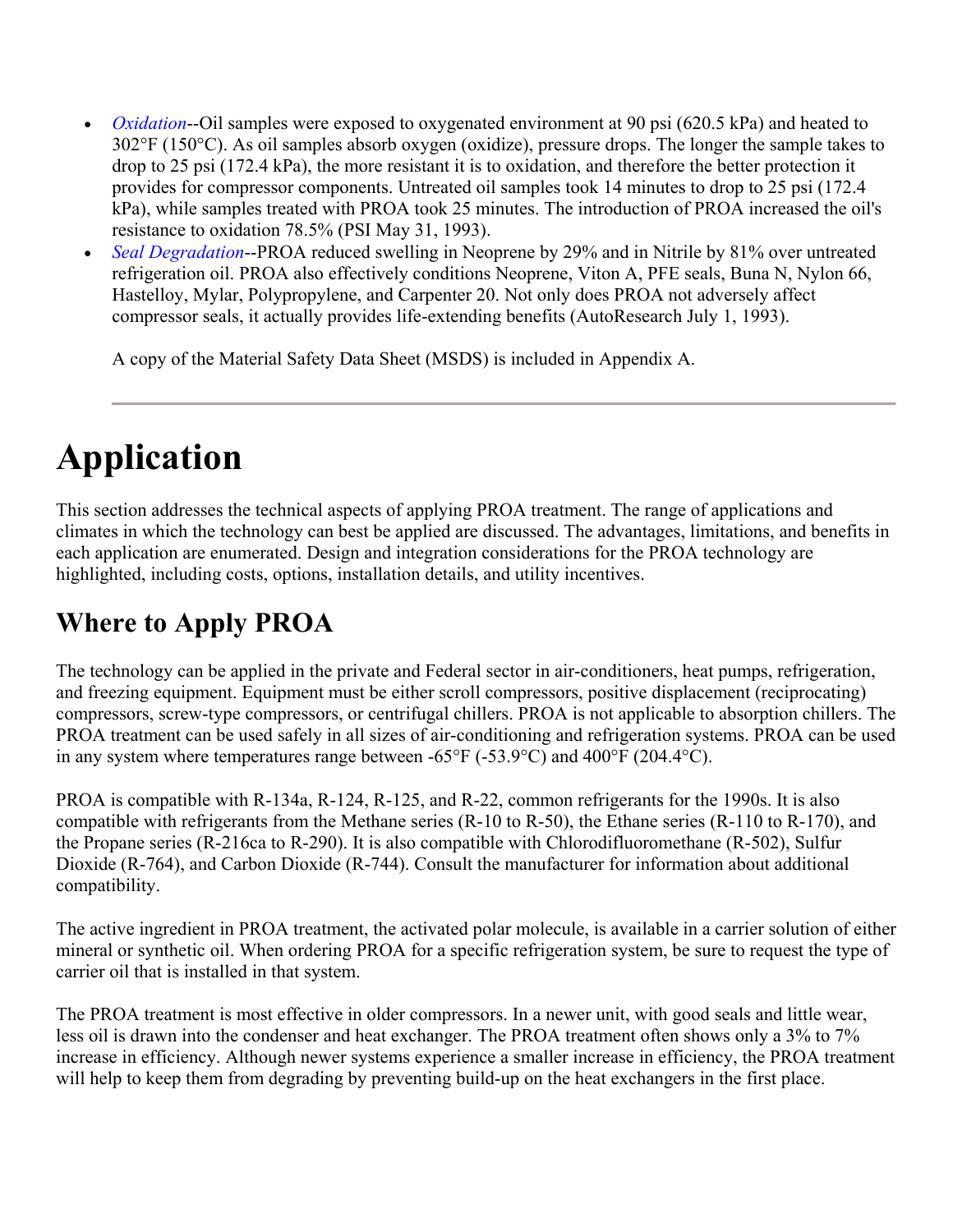- *Oxidation*--Oil samples were exposed to oxygenated environment at 90 psi (620.5 kPa) and heated to 302°F (150°C). As oil samples absorb oxygen (oxidize), pressure drops. The longer the sample takes to drop to 25 psi (172.4 kPa), the more resistant it is to oxidation, and therefore the better protection it provides for compressor components. Untreated oil samples took 14 minutes to drop to 25 psi (172.4 kPa), while samples treated with PROA took 25 minutes. The introduction of PROA increased the oil's resistance to oxidation 78.5% (PSI May 31, 1993).
- *Seal Degradation*--PROA reduced swelling in Neoprene by 29% and in Nitrile by 81% over untreated refrigeration oil. PROA also effectively conditions Neoprene, Viton A, PFE seals, Buna N, Nylon 66, Hastelloy, Mylar, Polypropylene, and Carpenter 20. Not only does PROA not adversely affect compressor seals, it actually provides life-extending benefits (AutoResearch July 1, 1993).

A copy of the Material Safety Data Sheet (MSDS) is included in Appendix A.

# **Application**

This section addresses the technical aspects of applying PROA treatment. The range of applications and climates in which the technology can best be applied are discussed. The advantages, limitations, and benefits in each application are enumerated. Design and integration considerations for the PROA technology are highlighted, including costs, options, installation details, and utility incentives.

### **Where to Apply PROA**

The technology can be applied in the private and Federal sector in air-conditioners, heat pumps, refrigeration, and freezing equipment. Equipment must be either scroll compressors, positive displacement (reciprocating) compressors, screw-type compressors, or centrifugal chillers. PROA is not applicable to absorption chillers. The PROA treatment can be used safely in all sizes of air-conditioning and refrigeration systems. PROA can be used in any system where temperatures range between -65°F (-53.9°C) and 400°F (204.4°C).

PROA is compatible with R-134a, R-124, R-125, and R-22, common refrigerants for the 1990s. It is also compatible with refrigerants from the Methane series (R-10 to R-50), the Ethane series (R-110 to R-170), and the Propane series (R-216ca to R-290). It is also compatible with Chlorodifluoromethane (R-502), Sulfur Dioxide (R-764), and Carbon Dioxide (R-744). Consult the manufacturer for information about additional compatibility.

The active ingredient in PROA treatment, the activated polar molecule, is available in a carrier solution of either mineral or synthetic oil. When ordering PROA for a specific refrigeration system, be sure to request the type of carrier oil that is installed in that system.

The PROA treatment is most effective in older compressors. In a newer unit, with good seals and little wear, less oil is drawn into the condenser and heat exchanger. The PROA treatment often shows only a 3% to 7% increase in efficiency. Although newer systems experience a smaller increase in efficiency, the PROA treatment will help to keep them from degrading by preventing build-up on the heat exchangers in the first place.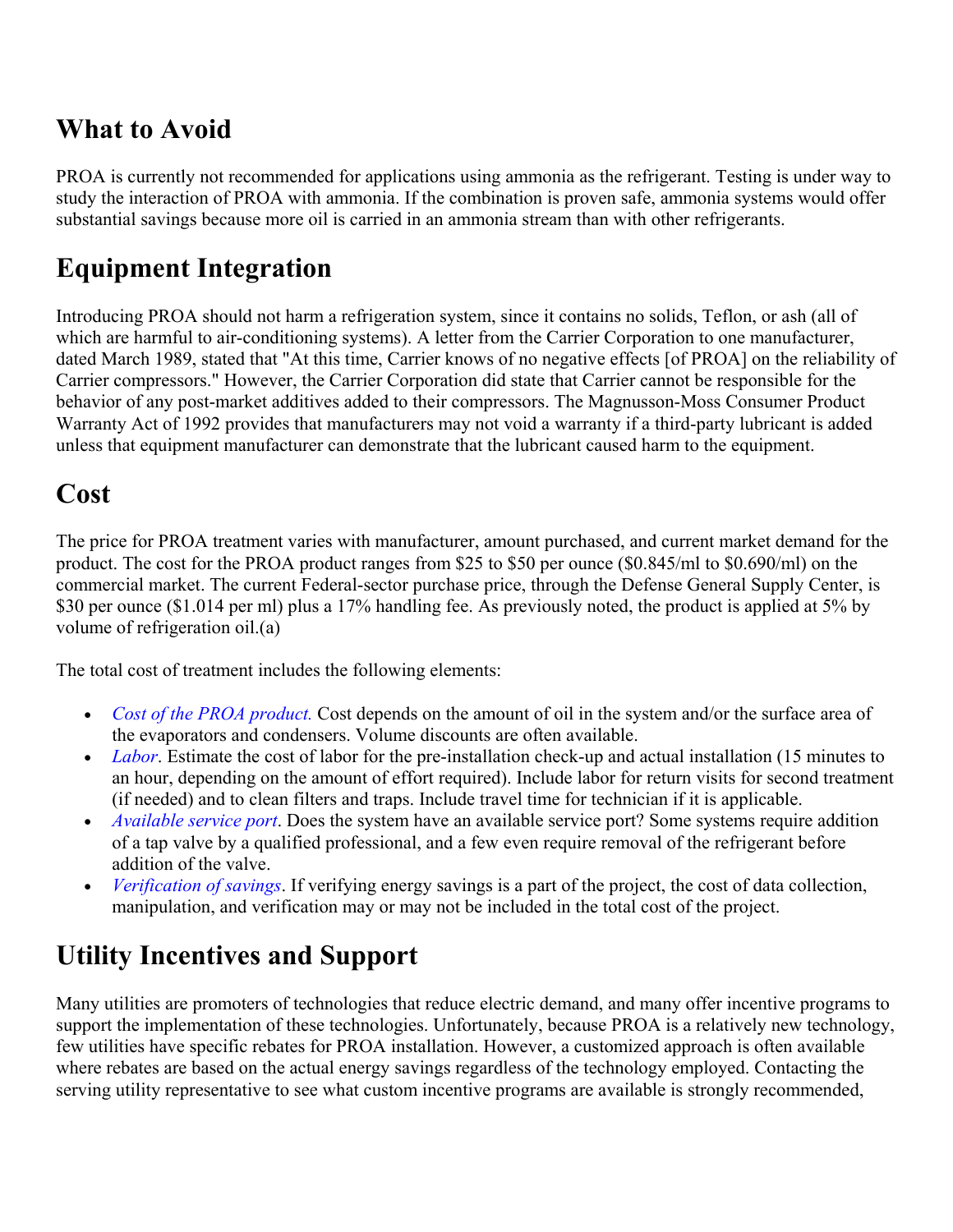#### **What to Avoid**

PROA is currently not recommended for applications using ammonia as the refrigerant. Testing is under way to study the interaction of PROA with ammonia. If the combination is proven safe, ammonia systems would offer substantial savings because more oil is carried in an ammonia stream than with other refrigerants.

#### **Equipment Integration**

Introducing PROA should not harm a refrigeration system, since it contains no solids, Teflon, or ash (all of which are harmful to air-conditioning systems). A letter from the Carrier Corporation to one manufacturer, dated March 1989, stated that "At this time, Carrier knows of no negative effects [of PROA] on the reliability of Carrier compressors." However, the Carrier Corporation did state that Carrier cannot be responsible for the behavior of any post-market additives added to their compressors. The Magnusson-Moss Consumer Product Warranty Act of 1992 provides that manufacturers may not void a warranty if a third-party lubricant is added unless that equipment manufacturer can demonstrate that the lubricant caused harm to the equipment.

#### **Cost**

The price for PROA treatment varies with manufacturer, amount purchased, and current market demand for the product. The cost for the PROA product ranges from \$25 to \$50 per ounce (\$0.845/ml to \$0.690/ml) on the commercial market. The current Federal-sector purchase price, through the Defense General Supply Center, is \$30 per ounce (\$1.014 per ml) plus a 17% handling fee. As previously noted, the product is applied at 5% by volume of refrigeration oil.(a)

The total cost of treatment includes the following elements:

- x *Cost of the PROA product.* Cost depends on the amount of oil in the system and/or the surface area of the evaporators and condensers. Volume discounts are often available.
- *Labor*. Estimate the cost of labor for the pre-installation check-up and actual installation (15 minutes to an hour, depending on the amount of effort required). Include labor for return visits for second treatment (if needed) and to clean filters and traps. Include travel time for technician if it is applicable.
- x *Available service port*. Does the system have an available service port? Some systems require addition of a tap valve by a qualified professional, and a few even require removal of the refrigerant before addition of the valve.
- *Verification of savings*. If verifying energy savings is a part of the project, the cost of data collection, manipulation, and verification may or may not be included in the total cost of the project.

#### **Utility Incentives and Support**

Many utilities are promoters of technologies that reduce electric demand, and many offer incentive programs to support the implementation of these technologies. Unfortunately, because PROA is a relatively new technology, few utilities have specific rebates for PROA installation. However, a customized approach is often available where rebates are based on the actual energy savings regardless of the technology employed. Contacting the serving utility representative to see what custom incentive programs are available is strongly recommended,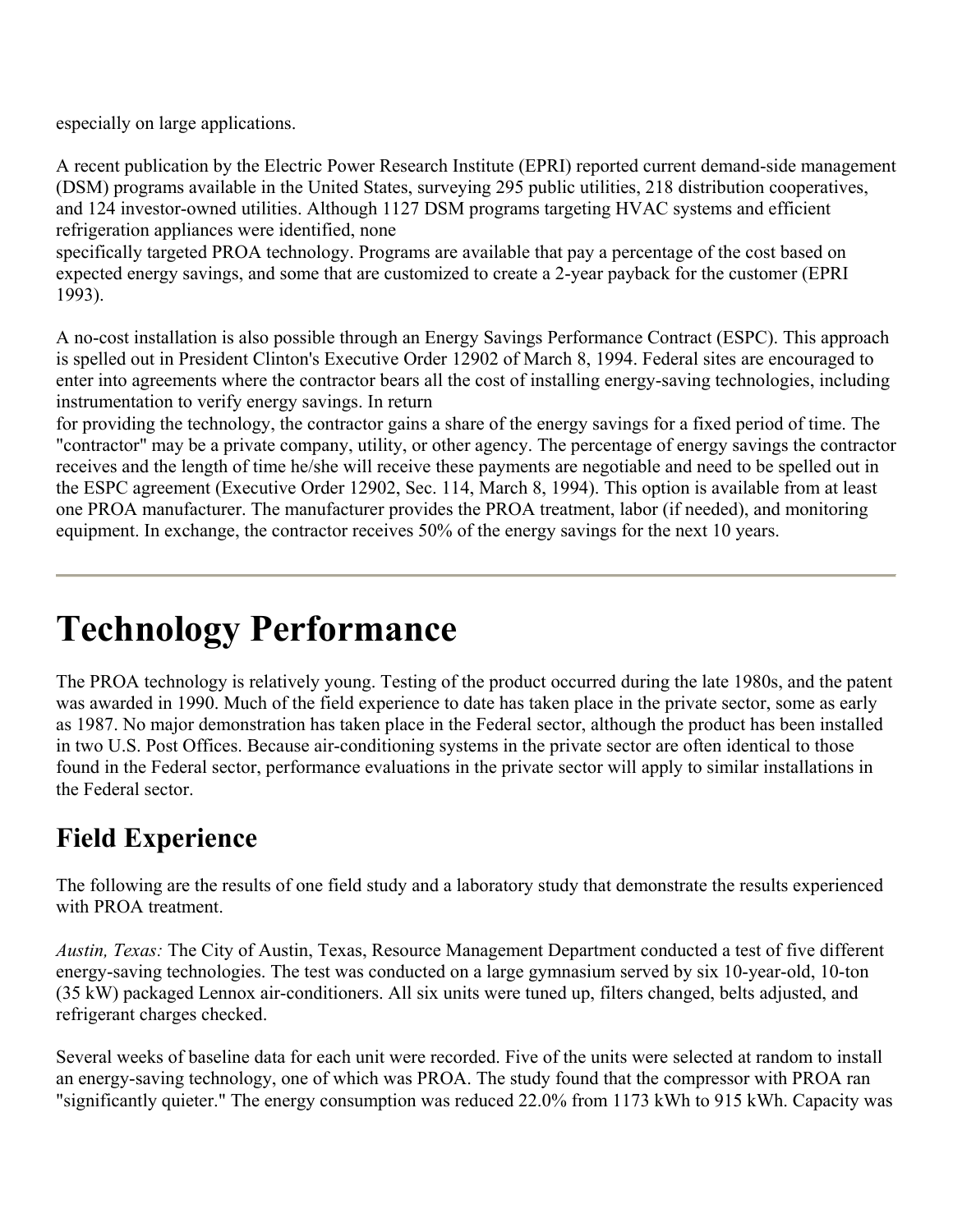especially on large applications.

A recent publication by the Electric Power Research Institute (EPRI) reported current demand-side management (DSM) programs available in the United States, surveying 295 public utilities, 218 distribution cooperatives, and 124 investor-owned utilities. Although 1127 DSM programs targeting HVAC systems and efficient refrigeration appliances were identified, none

specifically targeted PROA technology. Programs are available that pay a percentage of the cost based on expected energy savings, and some that are customized to create a 2-year payback for the customer (EPRI 1993).

A no-cost installation is also possible through an Energy Savings Performance Contract (ESPC). This approach is spelled out in President Clinton's Executive Order 12902 of March 8, 1994. Federal sites are encouraged to enter into agreements where the contractor bears all the cost of installing energy-saving technologies, including instrumentation to verify energy savings. In return

for providing the technology, the contractor gains a share of the energy savings for a fixed period of time. The "contractor" may be a private company, utility, or other agency. The percentage of energy savings the contractor receives and the length of time he/she will receive these payments are negotiable and need to be spelled out in the ESPC agreement (Executive Order 12902, Sec. 114, March 8, 1994). This option is available from at least one PROA manufacturer. The manufacturer provides the PROA treatment, labor (if needed), and monitoring equipment. In exchange, the contractor receives 50% of the energy savings for the next 10 years.

## **Technology Performance**

The PROA technology is relatively young. Testing of the product occurred during the late 1980s, and the patent was awarded in 1990. Much of the field experience to date has taken place in the private sector, some as early as 1987. No major demonstration has taken place in the Federal sector, although the product has been installed in two U.S. Post Offices. Because air-conditioning systems in the private sector are often identical to those found in the Federal sector, performance evaluations in the private sector will apply to similar installations in the Federal sector.

#### **Field Experience**

The following are the results of one field study and a laboratory study that demonstrate the results experienced with PROA treatment.

*Austin, Texas:* The City of Austin, Texas, Resource Management Department conducted a test of five different energy-saving technologies. The test was conducted on a large gymnasium served by six 10-year-old, 10-ton (35 kW) packaged Lennox air-conditioners. All six units were tuned up, filters changed, belts adjusted, and refrigerant charges checked.

Several weeks of baseline data for each unit were recorded. Five of the units were selected at random to install an energy-saving technology, one of which was PROA. The study found that the compressor with PROA ran "significantly quieter." The energy consumption was reduced 22.0% from 1173 kWh to 915 kWh. Capacity was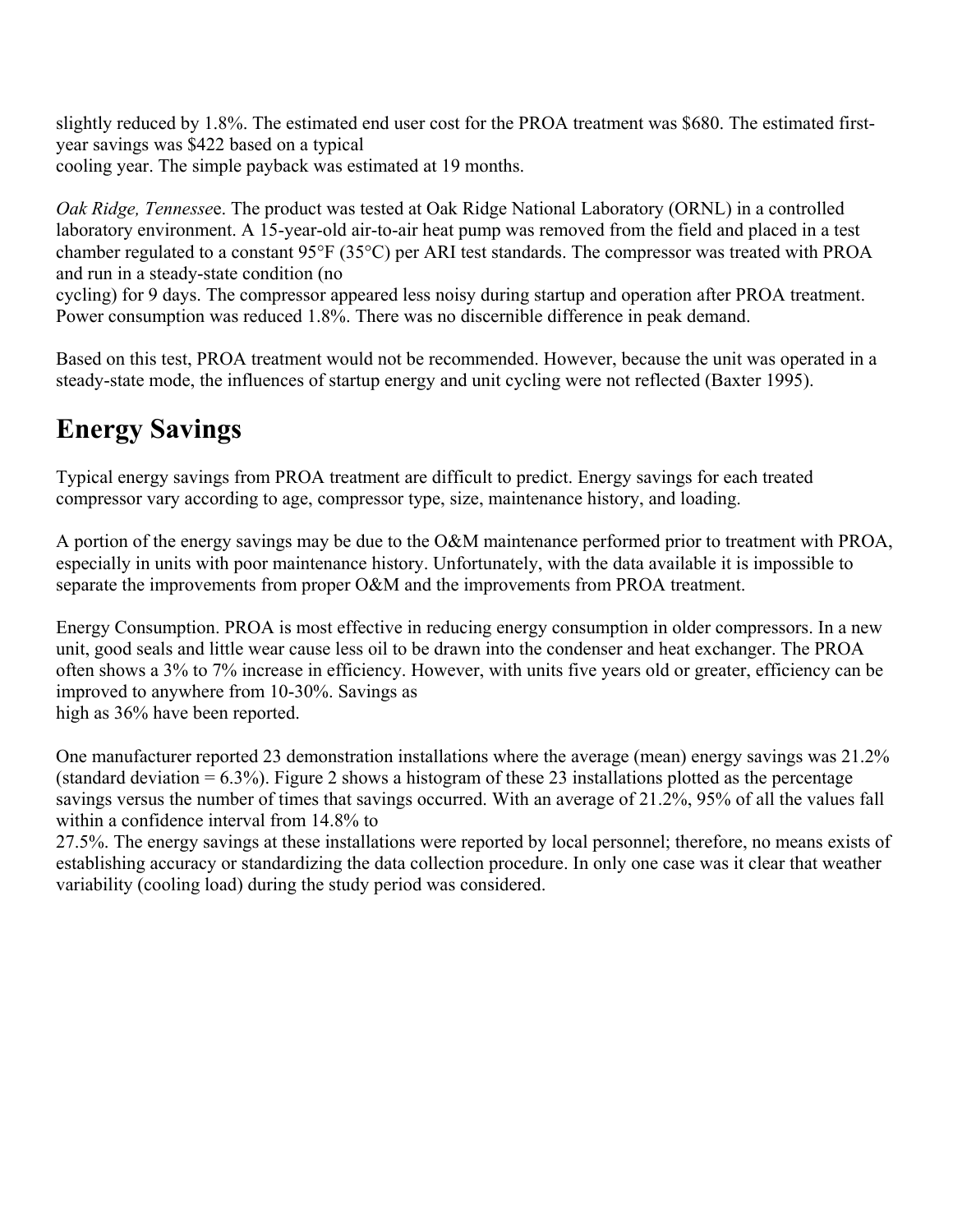slightly reduced by 1.8%. The estimated end user cost for the PROA treatment was \$680. The estimated firstyear savings was \$422 based on a typical cooling year. The simple payback was estimated at 19 months.

*Oak Ridge, Tennesse*e. The product was tested at Oak Ridge National Laboratory (ORNL) in a controlled laboratory environment. A 15-year-old air-to-air heat pump was removed from the field and placed in a test chamber regulated to a constant 95°F (35°C) per ARI test standards. The compressor was treated with PROA and run in a steady-state condition (no

cycling) for 9 days. The compressor appeared less noisy during startup and operation after PROA treatment. Power consumption was reduced 1.8%. There was no discernible difference in peak demand.

Based on this test, PROA treatment would not be recommended. However, because the unit was operated in a steady-state mode, the influences of startup energy and unit cycling were not reflected (Baxter 1995).

### **Energy Savings**

Typical energy savings from PROA treatment are difficult to predict. Energy savings for each treated compressor vary according to age, compressor type, size, maintenance history, and loading.

A portion of the energy savings may be due to the O&M maintenance performed prior to treatment with PROA, especially in units with poor maintenance history. Unfortunately, with the data available it is impossible to separate the improvements from proper O&M and the improvements from PROA treatment.

Energy Consumption. PROA is most effective in reducing energy consumption in older compressors. In a new unit, good seals and little wear cause less oil to be drawn into the condenser and heat exchanger. The PROA often shows a 3% to 7% increase in efficiency. However, with units five years old or greater, efficiency can be improved to anywhere from 10-30%. Savings as high as 36% have been reported.

One manufacturer reported 23 demonstration installations where the average (mean) energy savings was 21.2% (standard deviation  $= 6.3\%$ ). Figure 2 shows a histogram of these 23 installations plotted as the percentage savings versus the number of times that savings occurred. With an average of 21.2%, 95% of all the values fall within a confidence interval from 14.8% to

27.5%. The energy savings at these installations were reported by local personnel; therefore, no means exists of establishing accuracy or standardizing the data collection procedure. In only one case was it clear that weather variability (cooling load) during the study period was considered.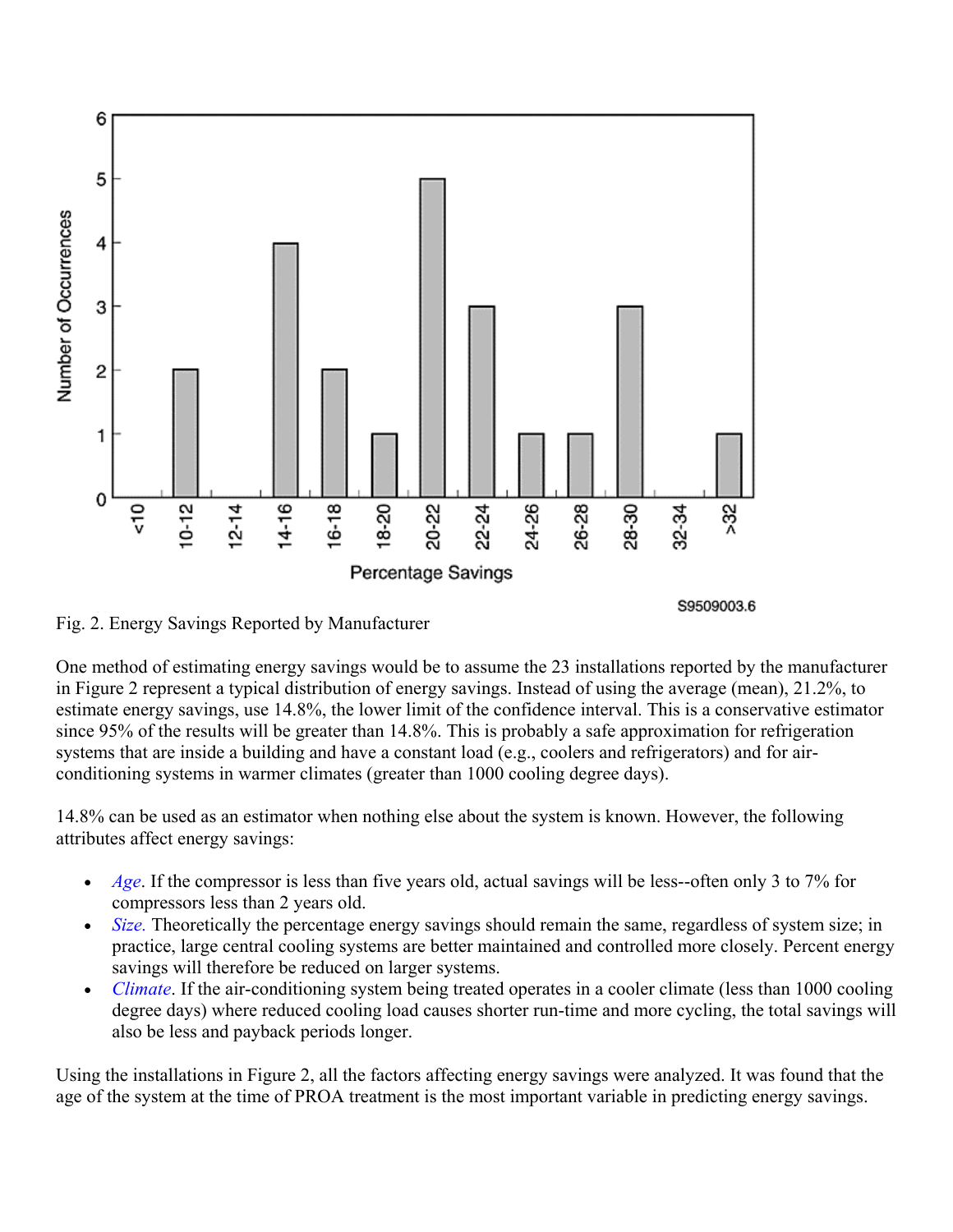

Fig. 2. Energy Savings Reported by Manufacturer

One method of estimating energy savings would be to assume the 23 installations reported by the manufacturer in Figure 2 represent a typical distribution of energy savings. Instead of using the average (mean), 21.2%, to estimate energy savings, use 14.8%, the lower limit of the confidence interval. This is a conservative estimator since 95% of the results will be greater than 14.8%. This is probably a safe approximation for refrigeration systems that are inside a building and have a constant load (e.g., coolers and refrigerators) and for airconditioning systems in warmer climates (greater than 1000 cooling degree days).

14.8% can be used as an estimator when nothing else about the system is known. However, the following attributes affect energy savings:

- *Age*. If the compressor is less than five years old, actual savings will be less--often only 3 to 7% for compressors less than 2 years old.
- Size. Theoretically the percentage energy savings should remain the same, regardless of system size; in practice, large central cooling systems are better maintained and controlled more closely. Percent energy savings will therefore be reduced on larger systems.
- *Climate*. If the air-conditioning system being treated operates in a cooler climate (less than 1000 cooling degree days) where reduced cooling load causes shorter run-time and more cycling, the total savings will also be less and payback periods longer.

Using the installations in Figure 2, all the factors affecting energy savings were analyzed. It was found that the age of the system at the time of PROA treatment is the most important variable in predicting energy savings.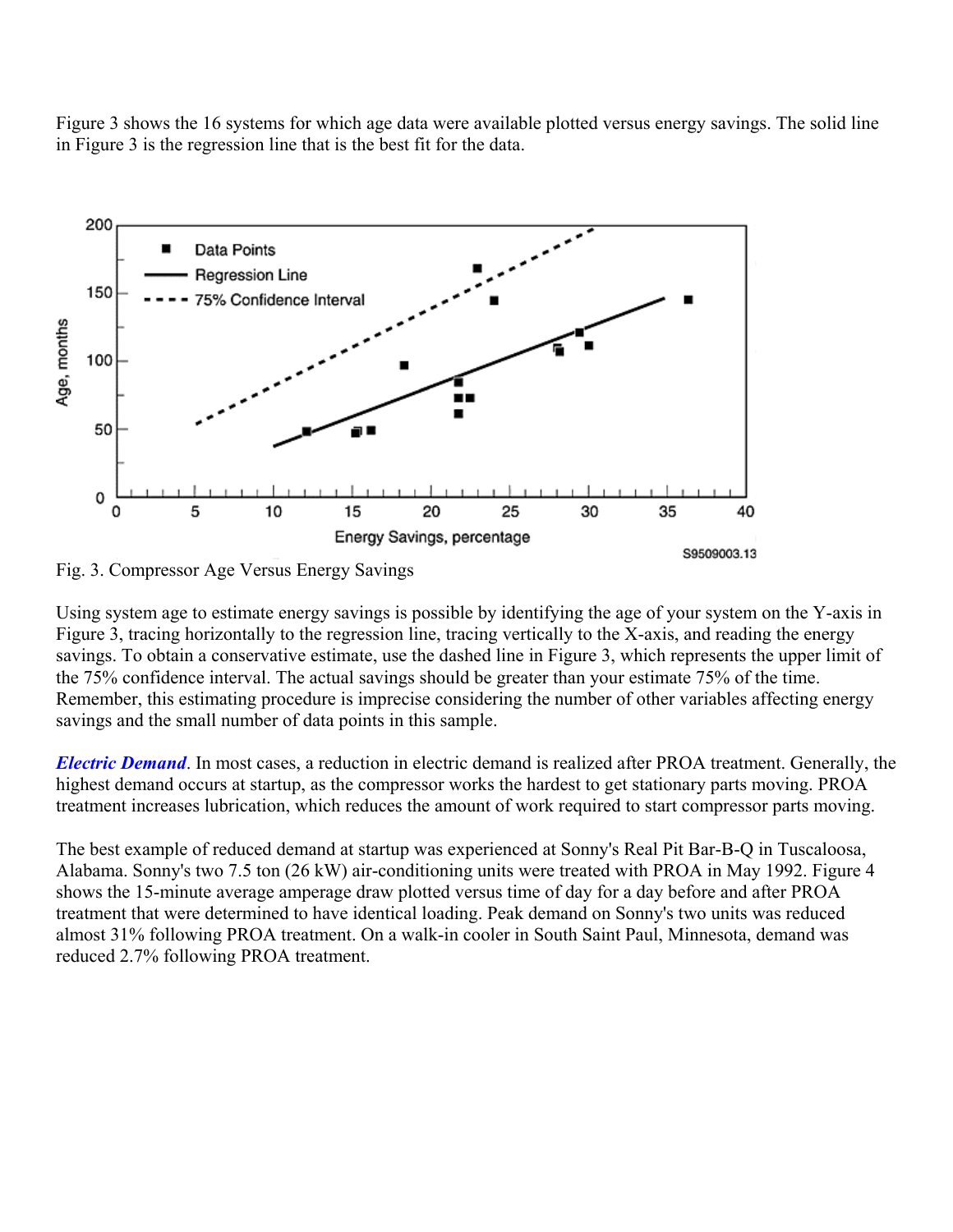Figure 3 shows the 16 systems for which age data were available plotted versus energy savings. The solid line in Figure 3 is the regression line that is the best fit for the data.



Fig. 3. Compressor Age Versus Energy Savings

Using system age to estimate energy savings is possible by identifying the age of your system on the Y-axis in Figure 3, tracing horizontally to the regression line, tracing vertically to the X-axis, and reading the energy savings. To obtain a conservative estimate, use the dashed line in Figure 3, which represents the upper limit of the 75% confidence interval. The actual savings should be greater than your estimate 75% of the time. Remember, this estimating procedure is imprecise considering the number of other variables affecting energy savings and the small number of data points in this sample.

*Electric Demand*. In most cases, a reduction in electric demand is realized after PROA treatment. Generally, the highest demand occurs at startup, as the compressor works the hardest to get stationary parts moving. PROA treatment increases lubrication, which reduces the amount of work required to start compressor parts moving.

The best example of reduced demand at startup was experienced at Sonny's Real Pit Bar-B-Q in Tuscaloosa, Alabama. Sonny's two 7.5 ton (26 kW) air-conditioning units were treated with PROA in May 1992. Figure 4 shows the 15-minute average amperage draw plotted versus time of day for a day before and after PROA treatment that were determined to have identical loading. Peak demand on Sonny's two units was reduced almost 31% following PROA treatment. On a walk-in cooler in South Saint Paul, Minnesota, demand was reduced 2.7% following PROA treatment.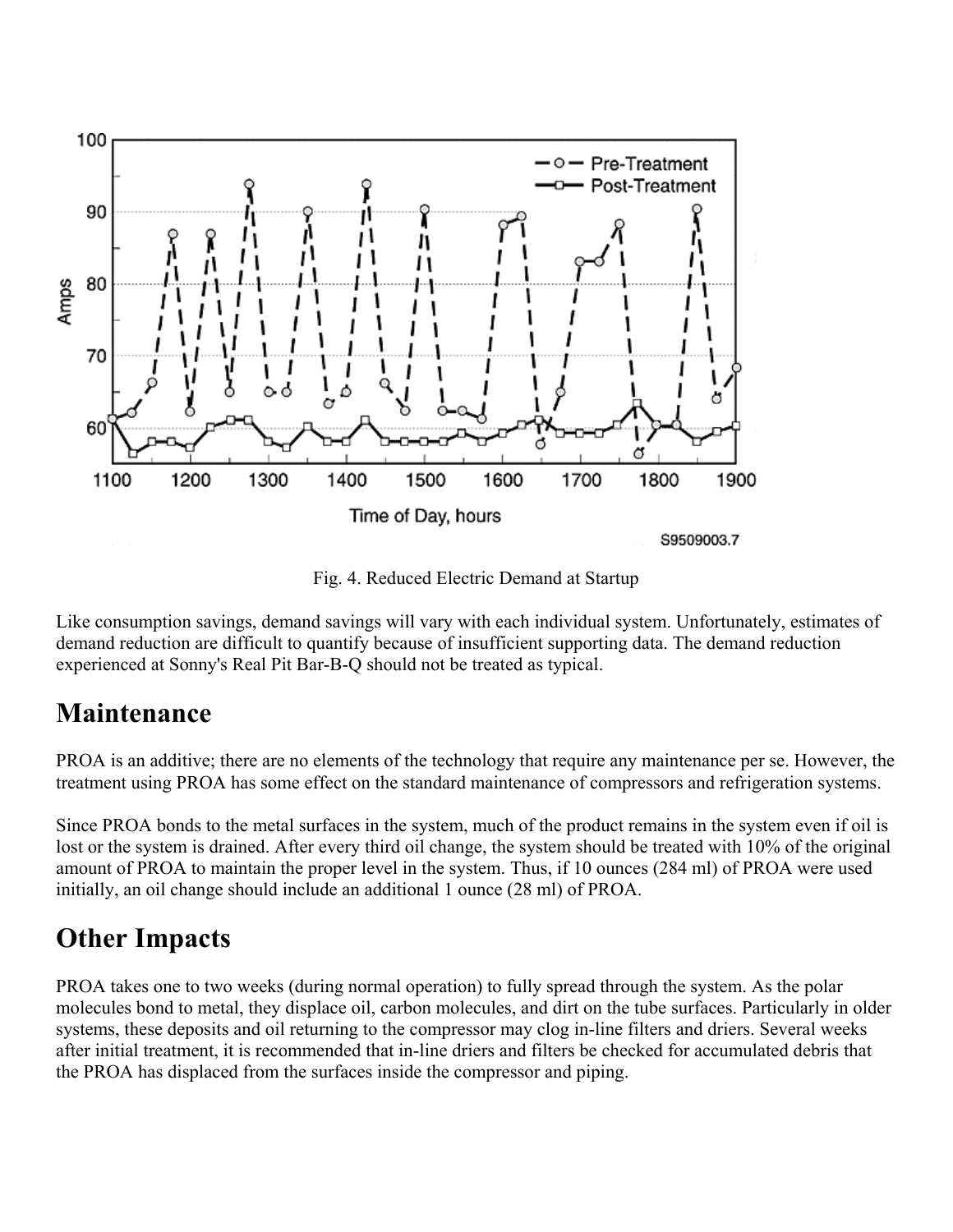

Fig. 4. Reduced Electric Demand at Startup

Like consumption savings, demand savings will vary with each individual system. Unfortunately, estimates of demand reduction are difficult to quantify because of insufficient supporting data. The demand reduction experienced at Sonny's Real Pit Bar-B-Q should not be treated as typical.

#### **Maintenance**

PROA is an additive; there are no elements of the technology that require any maintenance per se. However, the treatment using PROA has some effect on the standard maintenance of compressors and refrigeration systems.

Since PROA bonds to the metal surfaces in the system, much of the product remains in the system even if oil is lost or the system is drained. After every third oil change, the system should be treated with 10% of the original amount of PROA to maintain the proper level in the system. Thus, if 10 ounces (284 ml) of PROA were used initially, an oil change should include an additional 1 ounce (28 ml) of PROA.

#### **Other Impacts**

PROA takes one to two weeks (during normal operation) to fully spread through the system. As the polar molecules bond to metal, they displace oil, carbon molecules, and dirt on the tube surfaces. Particularly in older systems, these deposits and oil returning to the compressor may clog in-line filters and driers. Several weeks after initial treatment, it is recommended that in-line driers and filters be checked for accumulated debris that the PROA has displaced from the surfaces inside the compressor and piping.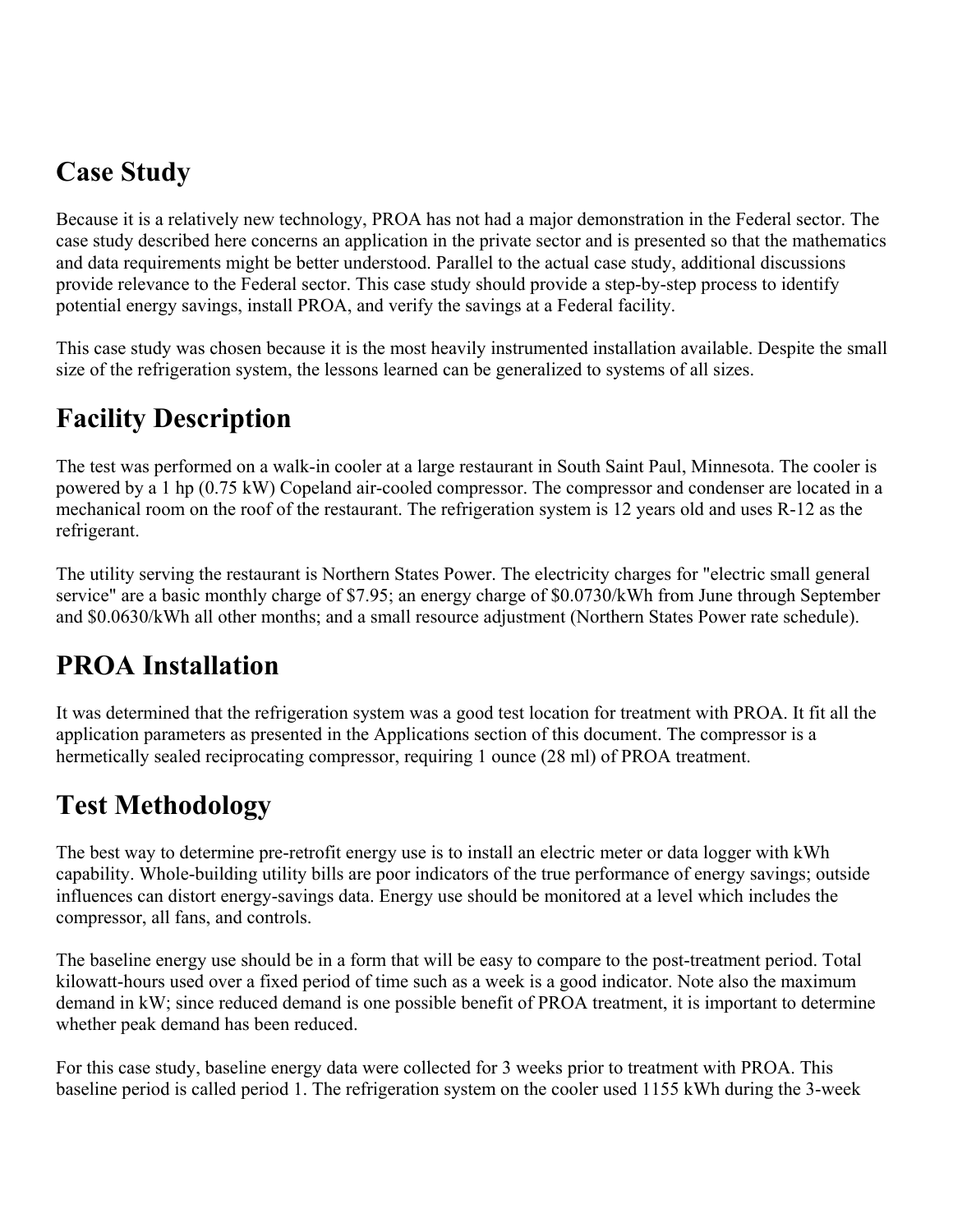#### **Case Study**

Because it is a relatively new technology, PROA has not had a major demonstration in the Federal sector. The case study described here concerns an application in the private sector and is presented so that the mathematics and data requirements might be better understood. Parallel to the actual case study, additional discussions provide relevance to the Federal sector. This case study should provide a step-by-step process to identify potential energy savings, install PROA, and verify the savings at a Federal facility.

This case study was chosen because it is the most heavily instrumented installation available. Despite the small size of the refrigeration system, the lessons learned can be generalized to systems of all sizes.

#### **Facility Description**

The test was performed on a walk-in cooler at a large restaurant in South Saint Paul, Minnesota. The cooler is powered by a 1 hp (0.75 kW) Copeland air-cooled compressor. The compressor and condenser are located in a mechanical room on the roof of the restaurant. The refrigeration system is 12 years old and uses R-12 as the refrigerant.

The utility serving the restaurant is Northern States Power. The electricity charges for "electric small general service" are a basic monthly charge of \$7.95; an energy charge of \$0.0730/kWh from June through September and \$0.0630/kWh all other months; and a small resource adjustment (Northern States Power rate schedule).

#### **PROA Installation**

It was determined that the refrigeration system was a good test location for treatment with PROA. It fit all the application parameters as presented in the Applications section of this document. The compressor is a hermetically sealed reciprocating compressor, requiring 1 ounce (28 ml) of PROA treatment.

#### **Test Methodology**

The best way to determine pre-retrofit energy use is to install an electric meter or data logger with kWh capability. Whole-building utility bills are poor indicators of the true performance of energy savings; outside influences can distort energy-savings data. Energy use should be monitored at a level which includes the compressor, all fans, and controls.

The baseline energy use should be in a form that will be easy to compare to the post-treatment period. Total kilowatt-hours used over a fixed period of time such as a week is a good indicator. Note also the maximum demand in kW; since reduced demand is one possible benefit of PROA treatment, it is important to determine whether peak demand has been reduced.

For this case study, baseline energy data were collected for 3 weeks prior to treatment with PROA. This baseline period is called period 1. The refrigeration system on the cooler used 1155 kWh during the 3-week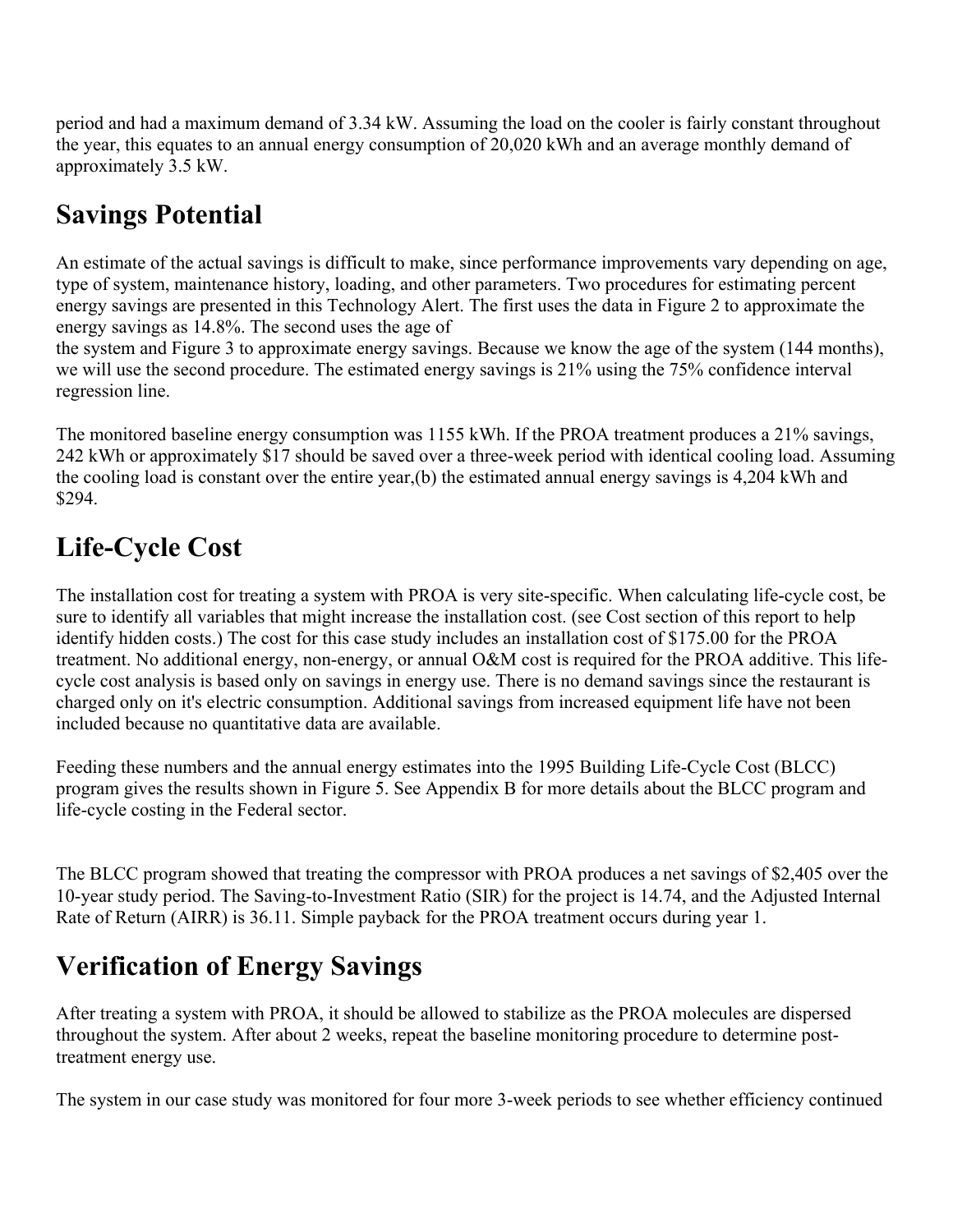period and had a maximum demand of 3.34 kW. Assuming the load on the cooler is fairly constant throughout the year, this equates to an annual energy consumption of 20,020 kWh and an average monthly demand of approximately 3.5 kW.

### **Savings Potential**

An estimate of the actual savings is difficult to make, since performance improvements vary depending on age, type of system, maintenance history, loading, and other parameters. Two procedures for estimating percent energy savings are presented in this Technology Alert. The first uses the data in Figure 2 to approximate the energy savings as 14.8%. The second uses the age of

the system and Figure 3 to approximate energy savings. Because we know the age of the system (144 months), we will use the second procedure. The estimated energy savings is 21% using the 75% confidence interval regression line.

The monitored baseline energy consumption was 1155 kWh. If the PROA treatment produces a 21% savings, 242 kWh or approximately \$17 should be saved over a three-week period with identical cooling load. Assuming the cooling load is constant over the entire year,(b) the estimated annual energy savings is 4,204 kWh and \$294.

#### **Life-Cycle Cost**

The installation cost for treating a system with PROA is very site-specific. When calculating life-cycle cost, be sure to identify all variables that might increase the installation cost. (see Cost section of this report to help identify hidden costs.) The cost for this case study includes an installation cost of \$175.00 for the PROA treatment. No additional energy, non-energy, or annual O&M cost is required for the PROA additive. This lifecycle cost analysis is based only on savings in energy use. There is no demand savings since the restaurant is charged only on it's electric consumption. Additional savings from increased equipment life have not been included because no quantitative data are available.

Feeding these numbers and the annual energy estimates into the 1995 Building Life-Cycle Cost (BLCC) program gives the results shown in Figure 5. See Appendix B for more details about the BLCC program and life-cycle costing in the Federal sector.

The BLCC program showed that treating the compressor with PROA produces a net savings of \$2,405 over the 10-year study period. The Saving-to-Investment Ratio (SIR) for the project is 14.74, and the Adjusted Internal Rate of Return (AIRR) is 36.11. Simple payback for the PROA treatment occurs during year 1.

## **Verification of Energy Savings**

After treating a system with PROA, it should be allowed to stabilize as the PROA molecules are dispersed throughout the system. After about 2 weeks, repeat the baseline monitoring procedure to determine posttreatment energy use.

The system in our case study was monitored for four more 3-week periods to see whether efficiency continued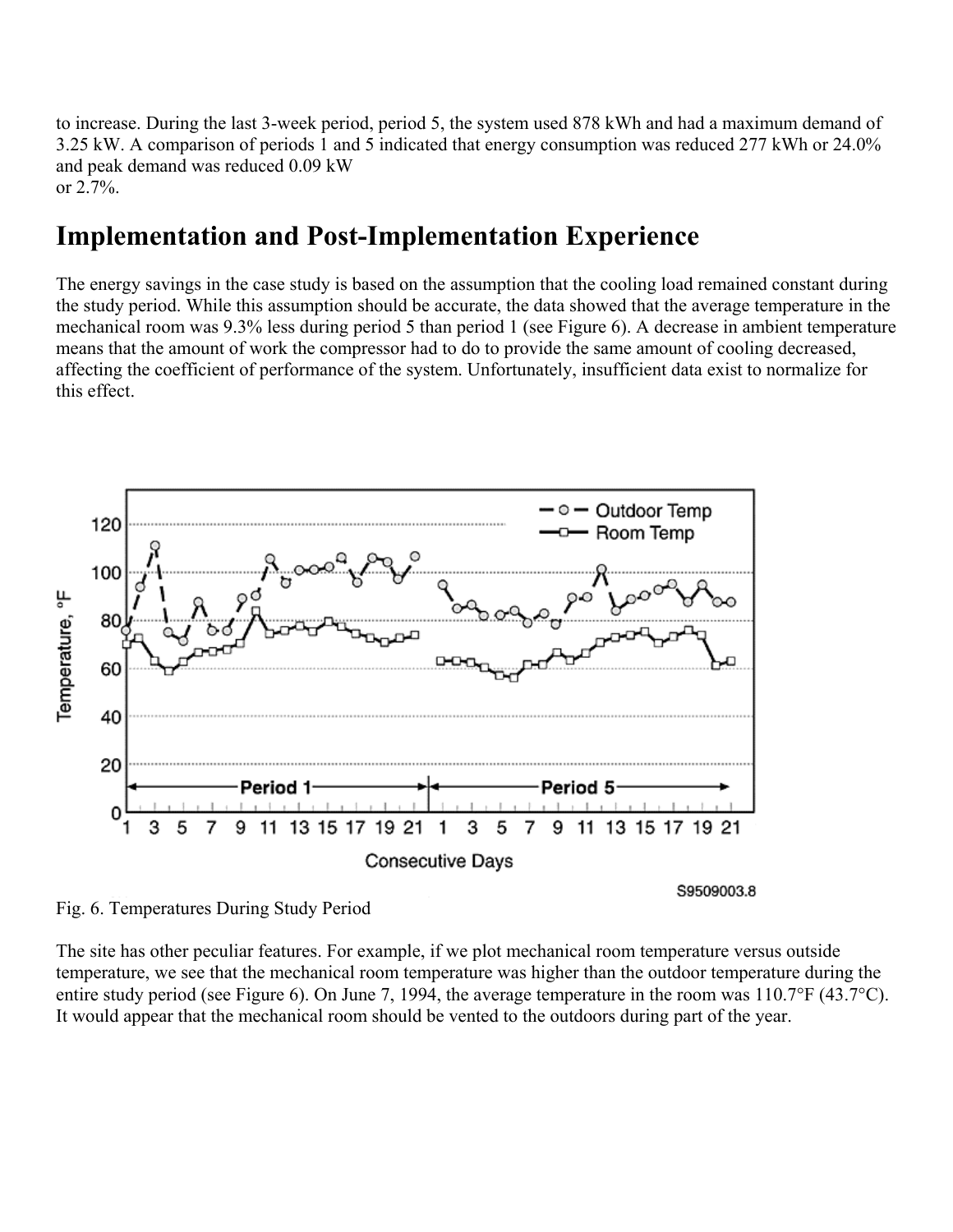to increase. During the last 3-week period, period 5, the system used 878 kWh and had a maximum demand of 3.25 kW. A comparison of periods 1 and 5 indicated that energy consumption was reduced 277 kWh or 24.0% and peak demand was reduced 0.09 kW or 2.7%.

#### **Implementation and Post-Implementation Experience**

The energy savings in the case study is based on the assumption that the cooling load remained constant during the study period. While this assumption should be accurate, the data showed that the average temperature in the mechanical room was 9.3% less during period 5 than period 1 (see Figure 6). A decrease in ambient temperature means that the amount of work the compressor had to do to provide the same amount of cooling decreased, affecting the coefficient of performance of the system. Unfortunately, insufficient data exist to normalize for this effect.



Fig. 6. Temperatures During Study Period

The site has other peculiar features. For example, if we plot mechanical room temperature versus outside temperature, we see that the mechanical room temperature was higher than the outdoor temperature during the entire study period (see Figure 6). On June 7, 1994, the average temperature in the room was 110.7°F (43.7°C). It would appear that the mechanical room should be vented to the outdoors during part of the year.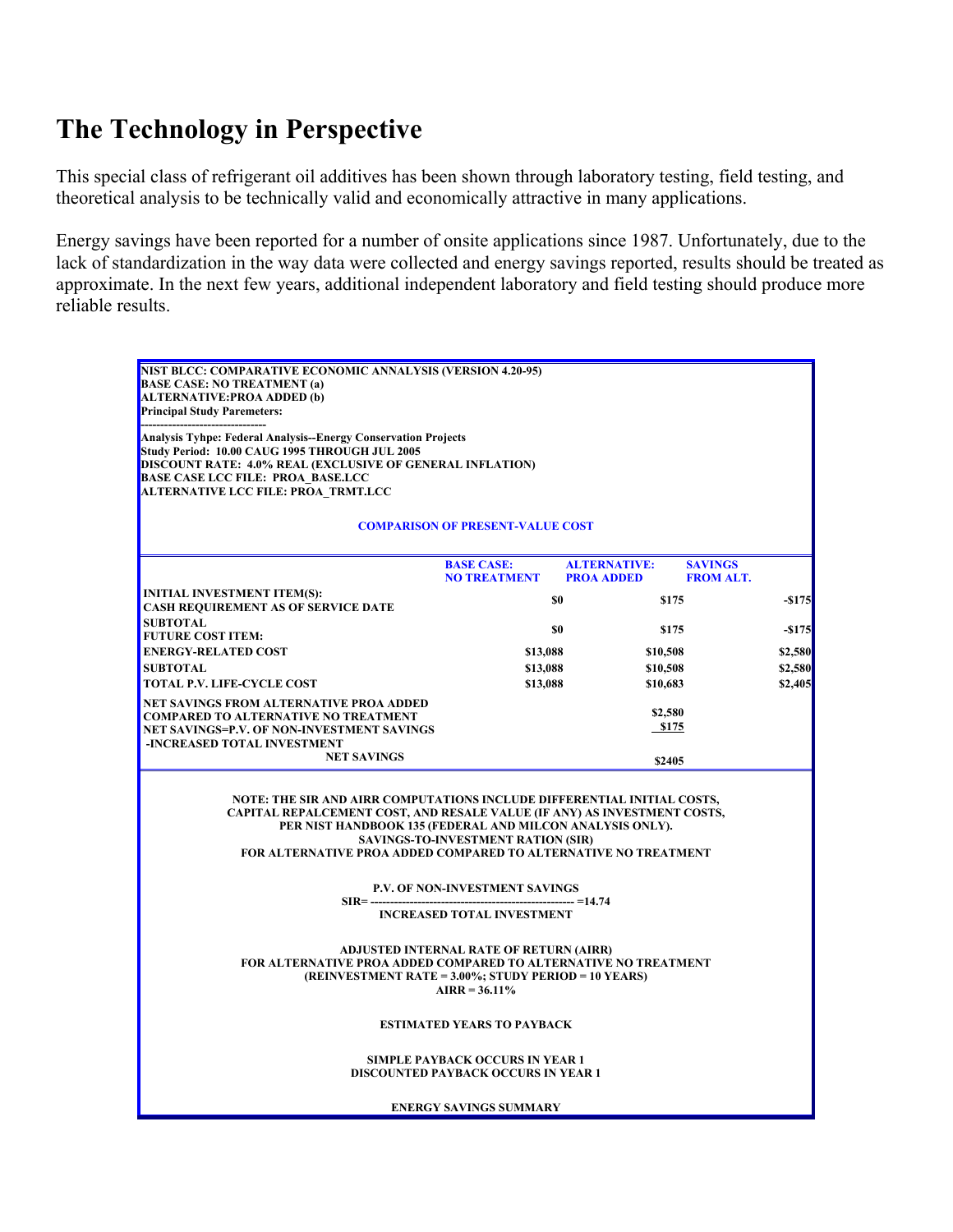#### **The Technology in Perspective**

This special class of refrigerant oil additives has been shown through laboratory testing, field testing, and theoretical analysis to be technically valid and economically attractive in many applications.

Energy savings have been reported for a number of onsite applications since 1987. Unfortunately, due to the lack of standardization in the way data were collected and energy savings reported, results should be treated as approximate. In the next few years, additional independent laboratory and field testing should produce more reliable results.

| NIST BLCC: COMPARATIVE ECONOMIC ANNALYSIS (VERSION 4.20-95)<br><b>BASE CASE: NO TREATMENT (a)</b><br><b>ALTERNATIVE: PROA ADDED (b)</b><br><b>Principal Study Paremeters:</b>                                                                                                                                                                                                                                                            |                                                                                                                                                                    |                                          |                                    |           |  |  |  |  |
|------------------------------------------------------------------------------------------------------------------------------------------------------------------------------------------------------------------------------------------------------------------------------------------------------------------------------------------------------------------------------------------------------------------------------------------|--------------------------------------------------------------------------------------------------------------------------------------------------------------------|------------------------------------------|------------------------------------|-----------|--|--|--|--|
| <b>Analysis Tyhpe: Federal Analysis--Energy Conservation Projects</b><br>Study Period: 10.00 CAUG 1995 THROUGH JUL 2005<br>DISCOUNT RATE: 4.0% REAL (EXCLUSIVE OF GENERAL INFLATION)<br><b>BASE CASE LCC FILE: PROA BASE.LCC</b><br>ALTERNATIVE LCC FILE: PROA TRMT.LCC                                                                                                                                                                  |                                                                                                                                                                    |                                          |                                    |           |  |  |  |  |
| <b>COMPARISON OF PRESENT-VALUE COST</b>                                                                                                                                                                                                                                                                                                                                                                                                  |                                                                                                                                                                    |                                          |                                    |           |  |  |  |  |
|                                                                                                                                                                                                                                                                                                                                                                                                                                          | <b>BASE CASE:</b><br><b>NO TREATMENT</b>                                                                                                                           | <b>ALTERNATIVE:</b><br><b>PROA ADDED</b> | <b>SAVINGS</b><br><b>FROM ALT.</b> |           |  |  |  |  |
| <b>INITIAL INVESTMENT ITEM(S):</b><br><b>CASH REQUIREMENT AS OF SERVICE DATE</b>                                                                                                                                                                                                                                                                                                                                                         |                                                                                                                                                                    | \$0                                      | \$175                              | $-$ \$175 |  |  |  |  |
| <b>SUBTOTAL</b>                                                                                                                                                                                                                                                                                                                                                                                                                          |                                                                                                                                                                    | SO.                                      | \$175                              | $-$ \$175 |  |  |  |  |
| <b>FUTURE COST ITEM:</b><br><b>ENERGY-RELATED COST</b>                                                                                                                                                                                                                                                                                                                                                                                   |                                                                                                                                                                    |                                          | \$10,508                           | \$2,580   |  |  |  |  |
| <b>SUBTOTAL</b>                                                                                                                                                                                                                                                                                                                                                                                                                          |                                                                                                                                                                    | \$13,088<br>\$13,088<br>\$10,508         |                                    | \$2,580   |  |  |  |  |
| <b>TOTAL P.V. LIFE-CYCLE COST</b>                                                                                                                                                                                                                                                                                                                                                                                                        |                                                                                                                                                                    | \$13,088<br>\$10,683                     |                                    | \$2,405   |  |  |  |  |
| NET SAVINGS FROM ALTERNATIVE PROA ADDED<br><b>COMPARED TO ALTERNATIVE NO TREATMENT</b><br>NET SAVINGS=P.V. OF NON-INVESTMENT SAVINGS<br>-INCREASED TOTAL INVESTMENT                                                                                                                                                                                                                                                                      |                                                                                                                                                                    | \$2,580<br>\$175                         |                                    |           |  |  |  |  |
| <b>NET SAVINGS</b>                                                                                                                                                                                                                                                                                                                                                                                                                       |                                                                                                                                                                    |                                          | \$2405                             |           |  |  |  |  |
| NOTE: THE SIR AND AIRR COMPUTATIONS INCLUDE DIFFERENTIAL INITIAL COSTS,<br>CAPITAL REPALCEMENT COST, AND RESALE VALUE (IF ANY) AS INVESTMENT COSTS,<br>PER NIST HANDBOOK 135 (FEDERAL AND MILCON ANALYSIS ONLY).<br><b>FOR ALTERNATIVE PROA ADDED COMPARED TO ALTERNATIVE NO TREATMENT</b><br>$SIR =$ -------<br>FOR ALTERNATIVE PROA ADDED COMPARED TO ALTERNATIVE NO TREATMENT<br>(REINVESTMENT RATE = 3.00%; STUDY PERIOD = 10 YEARS) | <b>SAVINGS-TO-INVESTMENT RATION (SIR)</b><br><b>P.V. OF NON-INVESTMENT SAVINGS</b><br><b>INCREASED TOTAL INVESTMENT</b><br>ADJUSTED INTERNAL RATE OF RETURN (AIRR) | ----------------- =14.74                 |                                    |           |  |  |  |  |
|                                                                                                                                                                                                                                                                                                                                                                                                                                          | $AIRR = 36.11\%$<br><b>ESTIMATED YEARS TO PAYBACK</b><br><b>SIMPLE PAYBACK OCCURS IN YEAR 1</b><br><b>DISCOUNTED PAYBACK OCCURS IN YEAR 1</b>                      |                                          |                                    |           |  |  |  |  |
|                                                                                                                                                                                                                                                                                                                                                                                                                                          | <b>ENERGY SAVINGS SUMMARY</b>                                                                                                                                      |                                          |                                    |           |  |  |  |  |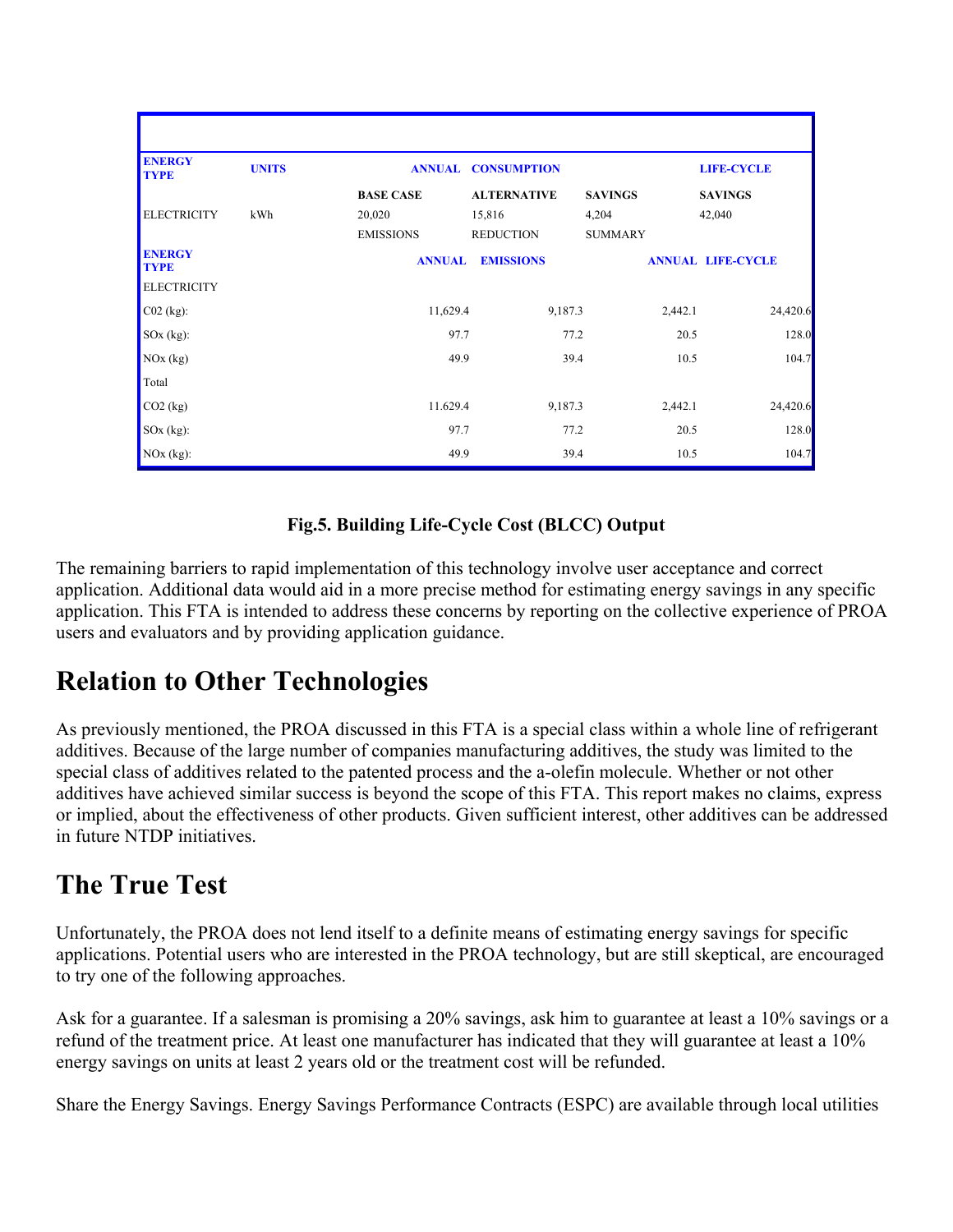| <b>ENERGY</b><br><b>TYPE</b> | <b>UNITS</b> | <b>ANNUAL</b>              | <b>LIFE-CYCLE</b>          |                         |                          |
|------------------------------|--------------|----------------------------|----------------------------|-------------------------|--------------------------|
|                              |              | <b>BASE CASE</b>           | <b>ALTERNATIVE</b>         | <b>SAVINGS</b>          | <b>SAVINGS</b>           |
| <b>ELECTRICITY</b>           | kWh          | 20,020<br><b>EMISSIONS</b> | 15,816<br><b>REDUCTION</b> | 4,204<br><b>SUMMARY</b> | 42,040                   |
| <b>ENERGY</b><br><b>TYPE</b> |              | <b>ANNUAL</b>              | <b>EMISSIONS</b>           |                         | <b>ANNUAL LIFE-CYCLE</b> |
| <b>ELECTRICITY</b>           |              |                            |                            |                         |                          |
| $CO2$ (kg):                  |              | 11,629.4                   | 9,187.3                    | 2,442.1                 | 24,420.6                 |
| $SOx$ (kg):                  |              | 97.7                       | 77.2                       | 20.5                    | 128.0                    |
| NOx (kg)                     |              | 49.9                       | 39.4                       | 10.5                    | 104.7                    |
| Total                        |              |                            |                            |                         |                          |
| $CO2$ (kg)                   |              | 11.629.4                   | 9,187.3                    | 2,442.1                 | 24,420.6                 |
| $SOx$ (kg):                  |              | 97.7                       | 77.2                       | 20.5                    | 128.0                    |
| $NOx$ (kg):                  |              | 49.9                       | 39.4                       | 10.5                    | 104.7                    |

#### **Fig.5. Building Life-Cycle Cost (BLCC) Output**

The remaining barriers to rapid implementation of this technology involve user acceptance and correct application. Additional data would aid in a more precise method for estimating energy savings in any specific application. This FTA is intended to address these concerns by reporting on the collective experience of PROA users and evaluators and by providing application guidance.

#### **Relation to Other Technologies**

As previously mentioned, the PROA discussed in this FTA is a special class within a whole line of refrigerant additives. Because of the large number of companies manufacturing additives, the study was limited to the special class of additives related to the patented process and the a-olefin molecule. Whether or not other additives have achieved similar success is beyond the scope of this FTA. This report makes no claims, express or implied, about the effectiveness of other products. Given sufficient interest, other additives can be addressed in future NTDP initiatives.

#### **The True Test**

Unfortunately, the PROA does not lend itself to a definite means of estimating energy savings for specific applications. Potential users who are interested in the PROA technology, but are still skeptical, are encouraged to try one of the following approaches.

Ask for a guarantee. If a salesman is promising a 20% savings, ask him to guarantee at least a 10% savings or a refund of the treatment price. At least one manufacturer has indicated that they will guarantee at least a 10% energy savings on units at least 2 years old or the treatment cost will be refunded.

Share the Energy Savings. Energy Savings Performance Contracts (ESPC) are available through local utilities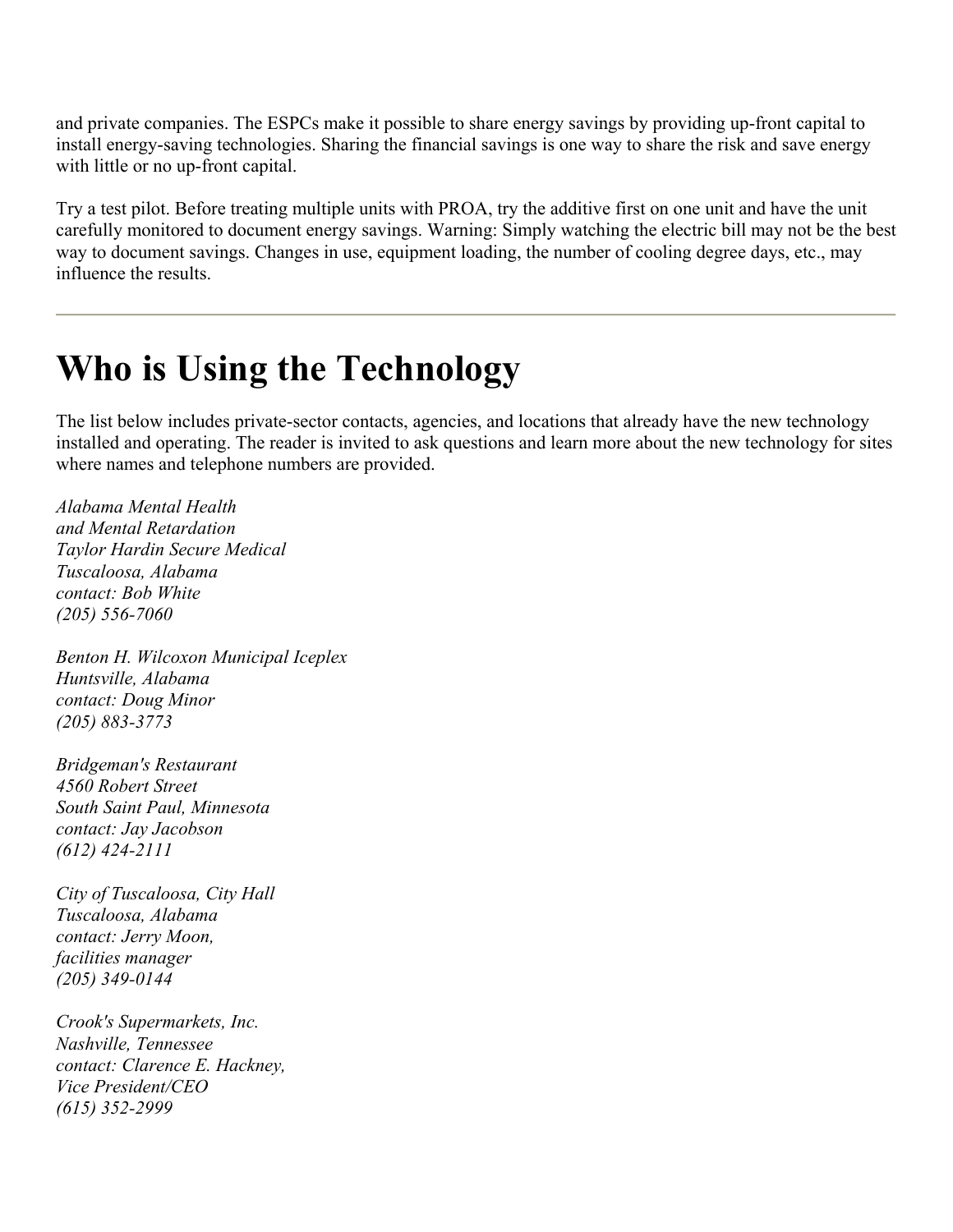and private companies. The ESPCs make it possible to share energy savings by providing up-front capital to install energy-saving technologies. Sharing the financial savings is one way to share the risk and save energy with little or no up-front capital.

Try a test pilot. Before treating multiple units with PROA, try the additive first on one unit and have the unit carefully monitored to document energy savings. Warning: Simply watching the electric bill may not be the best way to document savings. Changes in use, equipment loading, the number of cooling degree days, etc., may influence the results.

## **Who is Using the Technology**

The list below includes private-sector contacts, agencies, and locations that already have the new technology installed and operating. The reader is invited to ask questions and learn more about the new technology for sites where names and telephone numbers are provided.

*Alabama Mental Health and Mental Retardation Taylor Hardin Secure Medical Tuscaloosa, Alabama contact: Bob White (205) 556-7060* 

*Benton H. Wilcoxon Municipal Iceplex Huntsville, Alabama contact: Doug Minor (205) 883-3773* 

*Bridgeman's Restaurant 4560 Robert Street South Saint Paul, Minnesota contact: Jay Jacobson (612) 424-2111* 

*City of Tuscaloosa, City Hall Tuscaloosa, Alabama contact: Jerry Moon, facilities manager (205) 349-0144* 

*Crook's Supermarkets, Inc. Nashville, Tennessee contact: Clarence E. Hackney, Vice President/CEO (615) 352-2999*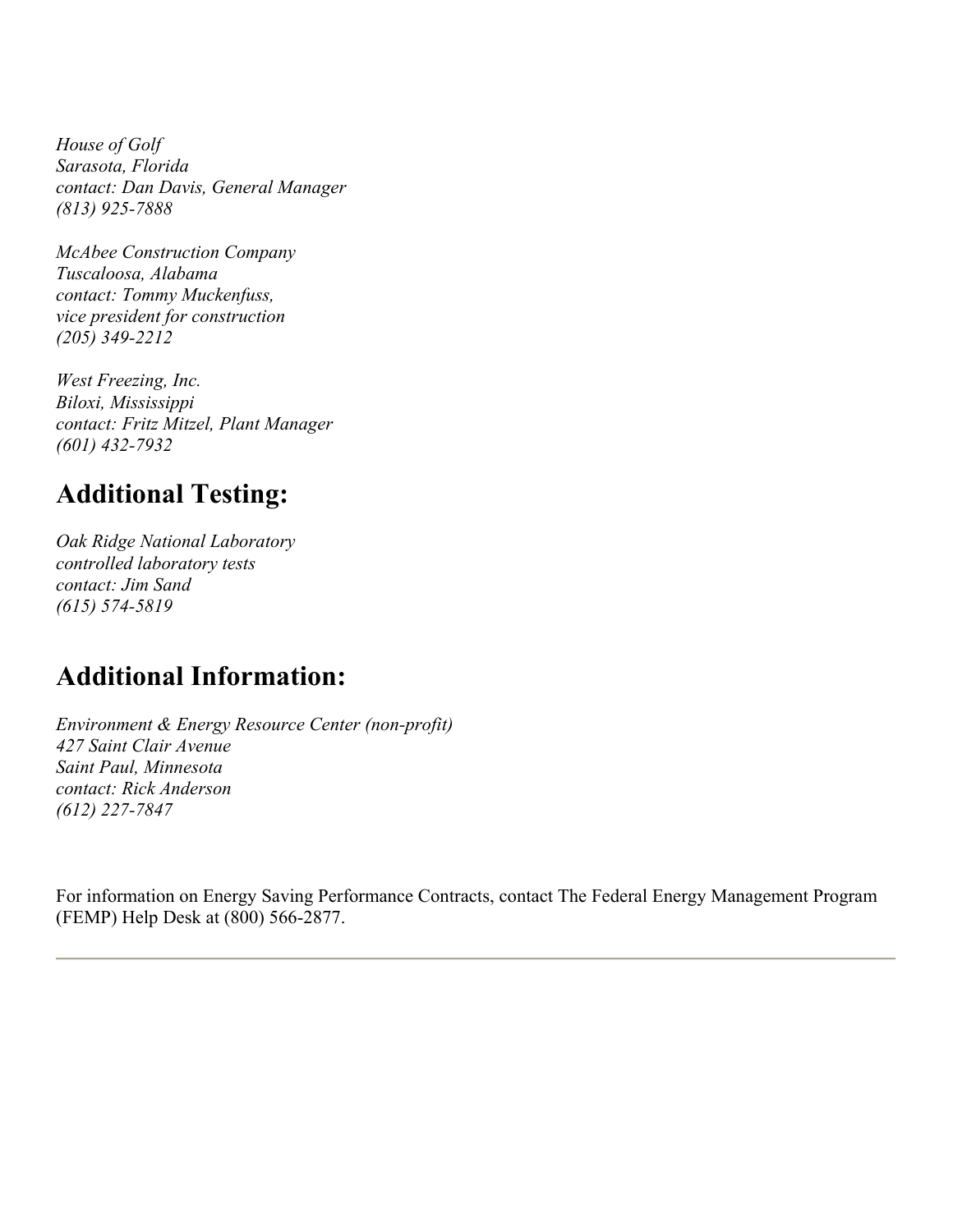*House of Golf Sarasota, Florida contact: Dan Davis, General Manager (813) 925-7888* 

*McAbee Construction Company Tuscaloosa, Alabama contact: Tommy Muckenfuss, vice president for construction (205) 349-2212* 

*West Freezing, Inc. Biloxi, Mississippi contact: Fritz Mitzel, Plant Manager (601) 432-7932* 

#### **Additional Testing:**

*Oak Ridge National Laboratory controlled laboratory tests contact: Jim Sand (615) 574-5819* 

#### **Additional Information:**

*Environment & Energy Resource Center (non-profit) 427 Saint Clair Avenue Saint Paul, Minnesota contact: Rick Anderson (612) 227-7847* 

For information on Energy Saving Performance Contracts, contact The Federal Energy Management Program (FEMP) Help Desk at (800) 566-2877.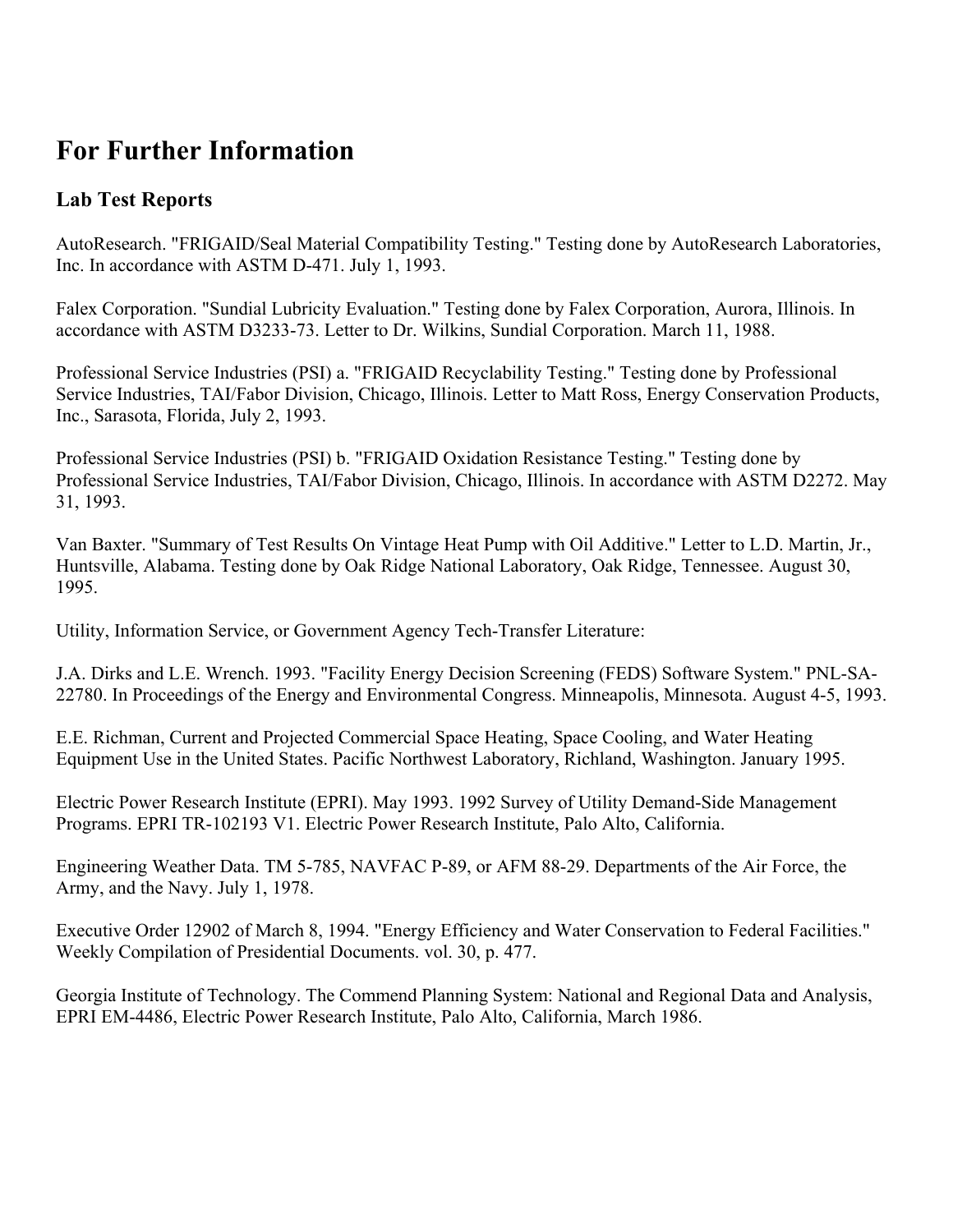#### **For Further Information**

#### **Lab Test Reports**

AutoResearch. "FRIGAID/Seal Material Compatibility Testing." Testing done by AutoResearch Laboratories, Inc. In accordance with ASTM D-471. July 1, 1993.

Falex Corporation. "Sundial Lubricity Evaluation." Testing done by Falex Corporation, Aurora, Illinois. In accordance with ASTM D3233-73. Letter to Dr. Wilkins, Sundial Corporation. March 11, 1988.

Professional Service Industries (PSI) a. "FRIGAID Recyclability Testing." Testing done by Professional Service Industries, TAI/Fabor Division, Chicago, Illinois. Letter to Matt Ross, Energy Conservation Products, Inc., Sarasota, Florida, July 2, 1993.

Professional Service Industries (PSI) b. "FRIGAID Oxidation Resistance Testing." Testing done by Professional Service Industries, TAI/Fabor Division, Chicago, Illinois. In accordance with ASTM D2272. May 31, 1993.

Van Baxter. "Summary of Test Results On Vintage Heat Pump with Oil Additive." Letter to L.D. Martin, Jr., Huntsville, Alabama. Testing done by Oak Ridge National Laboratory, Oak Ridge, Tennessee. August 30, 1995.

Utility, Information Service, or Government Agency Tech-Transfer Literature:

J.A. Dirks and L.E. Wrench. 1993. "Facility Energy Decision Screening (FEDS) Software System." PNL-SA-22780. In Proceedings of the Energy and Environmental Congress. Minneapolis, Minnesota. August 4-5, 1993.

E.E. Richman, Current and Projected Commercial Space Heating, Space Cooling, and Water Heating Equipment Use in the United States. Pacific Northwest Laboratory, Richland, Washington. January 1995.

Electric Power Research Institute (EPRI). May 1993. 1992 Survey of Utility Demand-Side Management Programs. EPRI TR-102193 V1. Electric Power Research Institute, Palo Alto, California.

Engineering Weather Data. TM 5-785, NAVFAC P-89, or AFM 88-29. Departments of the Air Force, the Army, and the Navy. July 1, 1978.

Executive Order 12902 of March 8, 1994. "Energy Efficiency and Water Conservation to Federal Facilities." Weekly Compilation of Presidential Documents. vol. 30, p. 477.

Georgia Institute of Technology. The Commend Planning System: National and Regional Data and Analysis, EPRI EM-4486, Electric Power Research Institute, Palo Alto, California, March 1986.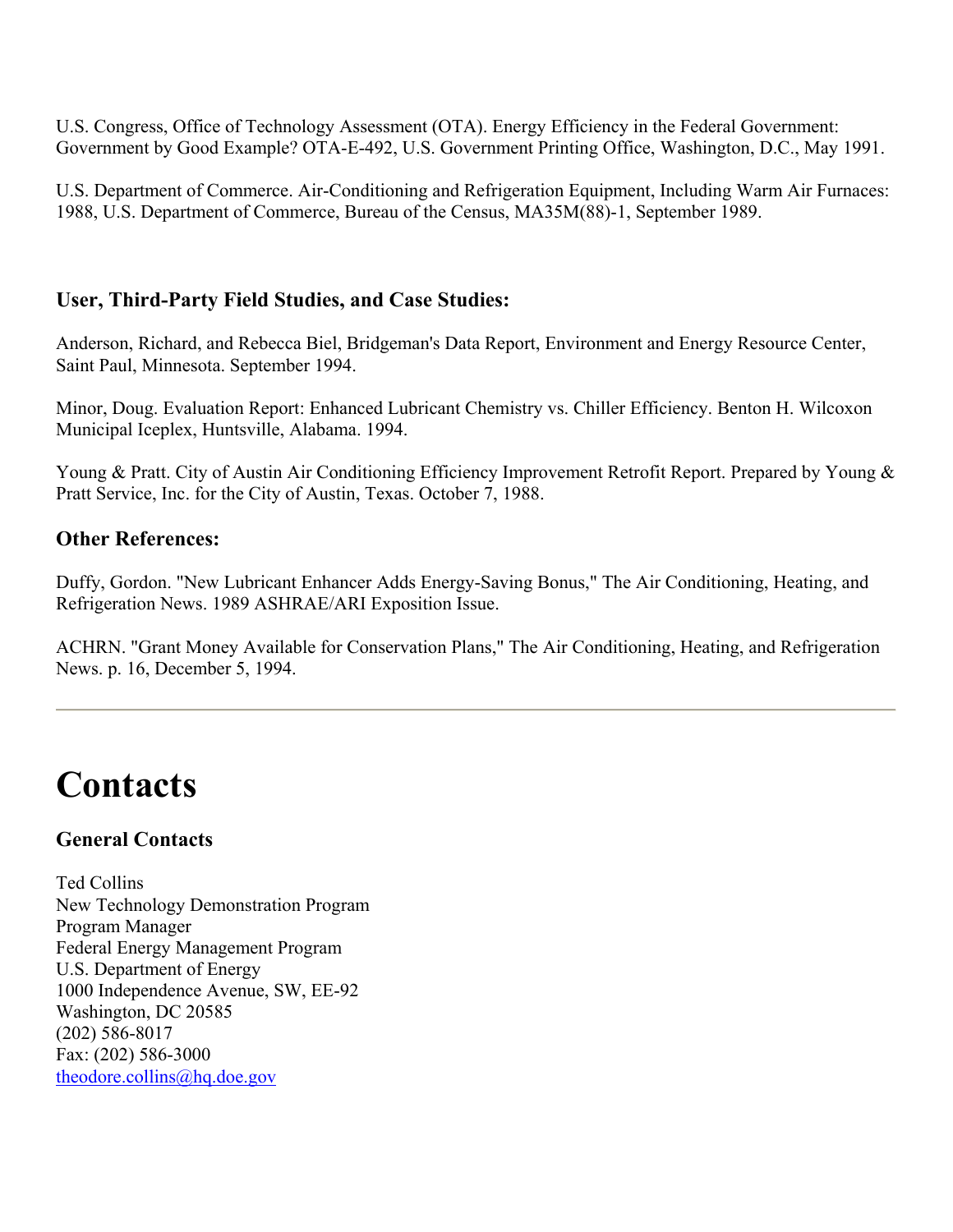U.S. Congress, Office of Technology Assessment (OTA). Energy Efficiency in the Federal Government: Government by Good Example? OTA-E-492, U.S. Government Printing Office, Washington, D.C., May 1991.

U.S. Department of Commerce. Air-Conditioning and Refrigeration Equipment, Including Warm Air Furnaces: 1988, U.S. Department of Commerce, Bureau of the Census, MA35M(88)-1, September 1989.

#### **User, Third-Party Field Studies, and Case Studies:**

Anderson, Richard, and Rebecca Biel, Bridgeman's Data Report, Environment and Energy Resource Center, Saint Paul, Minnesota. September 1994.

Minor, Doug. Evaluation Report: Enhanced Lubricant Chemistry vs. Chiller Efficiency. Benton H. Wilcoxon Municipal Iceplex, Huntsville, Alabama. 1994.

Young & Pratt. City of Austin Air Conditioning Efficiency Improvement Retrofit Report. Prepared by Young & Pratt Service, Inc. for the City of Austin, Texas. October 7, 1988.

#### **Other References:**

Duffy, Gordon. "New Lubricant Enhancer Adds Energy-Saving Bonus," The Air Conditioning, Heating, and Refrigeration News. 1989 ASHRAE/ARI Exposition Issue.

ACHRN. "Grant Money Available for Conservation Plans," The Air Conditioning, Heating, and Refrigeration News. p. 16, December 5, 1994.

## **Contacts**

#### **General Contacts**

Ted Collins New Technology Demonstration Program Program Manager Federal Energy Management Program U.S. Department of Energy 1000 Independence Avenue, SW, EE-92 Washington, DC 20585 (202) 586-8017 Fax: (202) 586-3000 theodore.collins@hq.doe.gov